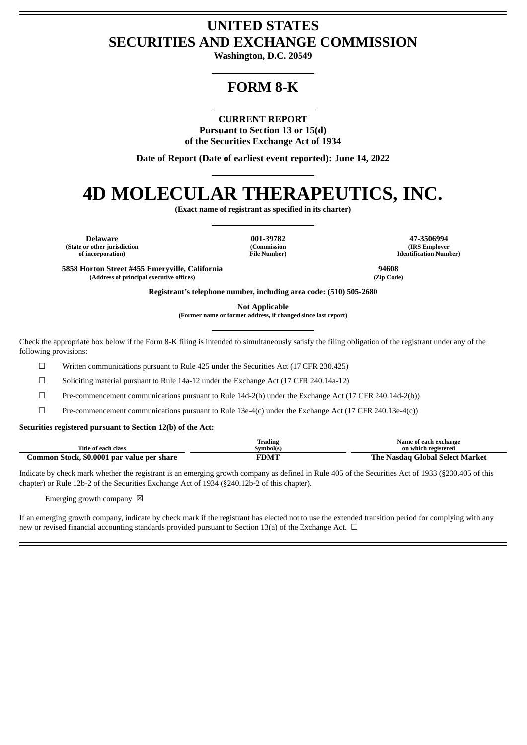# **UNITED STATES SECURITIES AND EXCHANGE COMMISSION**

**Washington, D.C. 20549**

# **FORM 8-K**

**CURRENT REPORT**

**Pursuant to Section 13 or 15(d) of the Securities Exchange Act of 1934**

**Date of Report (Date of earliest event reported): June 14, 2022**

# **4D MOLECULAR THERAPEUTICS, INC.**

**(Exact name of registrant as specified in its charter)**

**(State or other jurisdiction of incorporation)**

**(Commission File Number)**

**Delaware 001-39782 47-3506994 (IRS Employer Identification Number)**

**5858 Horton Street #455 Emeryville, California 94608 (Address of principal executive offices) (Zip Code)**

**Registrant's telephone number, including area code: (510) 505-2680**

**Not Applicable**

**(Former name or former address, if changed since last report)**

Check the appropriate box below if the Form 8-K filing is intended to simultaneously satisfy the filing obligation of the registrant under any of the following provisions:

☐ Written communications pursuant to Rule 425 under the Securities Act (17 CFR 230.425)

☐ Soliciting material pursuant to Rule 14a-12 under the Exchange Act (17 CFR 240.14a-12)

☐ Pre-commencement communications pursuant to Rule 14d-2(b) under the Exchange Act (17 CFR 240.14d-2(b))

☐ Pre-commencement communications pursuant to Rule 13e-4(c) under the Exchange Act (17 CFR 240.13e-4(c))

**Securities registered pursuant to Section 12(b) of the Act:**

|                                            | m.<br>Trading | Name of each exchange           |
|--------------------------------------------|---------------|---------------------------------|
| Title of each class                        | Symbol(s)     | on which registered             |
| Common Stock, \$0.0001 par value per share | <b>FDMT</b>   | The Nasdag Global Select Market |

Indicate by check mark whether the registrant is an emerging growth company as defined in Rule 405 of the Securities Act of 1933 (§230.405 of this chapter) or Rule 12b-2 of the Securities Exchange Act of 1934 (§240.12b-2 of this chapter).

Emerging growth company  $\boxtimes$ 

If an emerging growth company, indicate by check mark if the registrant has elected not to use the extended transition period for complying with any new or revised financial accounting standards provided pursuant to Section 13(a) of the Exchange Act. □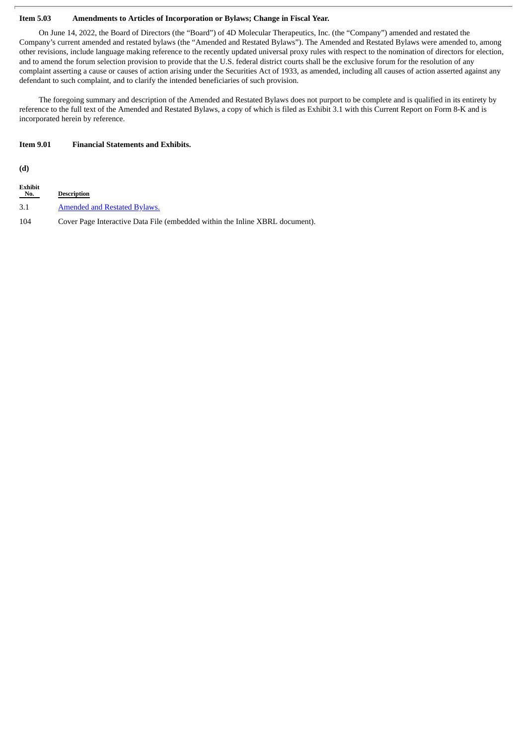#### **Item 5.03 Amendments to Articles of Incorporation or Bylaws; Change in Fiscal Year.**

On June 14, 2022, the Board of Directors (the "Board") of 4D Molecular Therapeutics, Inc. (the "Company") amended and restated the Company's current amended and restated bylaws (the "Amended and Restated Bylaws"). The Amended and Restated Bylaws were amended to, among other revisions, include language making reference to the recently updated universal proxy rules with respect to the nomination of directors for election, and to amend the forum selection provision to provide that the U.S. federal district courts shall be the exclusive forum for the resolution of any complaint asserting a cause or causes of action arising under the Securities Act of 1933, as amended, including all causes of action asserted against any defendant to such complaint, and to clarify the intended beneficiaries of such provision.

The foregoing summary and description of the Amended and Restated Bylaws does not purport to be complete and is qualified in its entirety by reference to the full text of the Amended and Restated Bylaws, a copy of which is filed as Exhibit 3.1 with this Current Report on Form 8-K and is incorporated herein by reference.

#### **Item 9.01 Financial Statements and Exhibits.**

**(d)**

| <b>Exhibit</b><br>No. | <b>Description</b>                                                           |
|-----------------------|------------------------------------------------------------------------------|
| 3.1                   | <b>Amended and Restated Bylaws.</b>                                          |
| 104                   | Cover Page Interactive Data File (embedded within the Inline XBRL document). |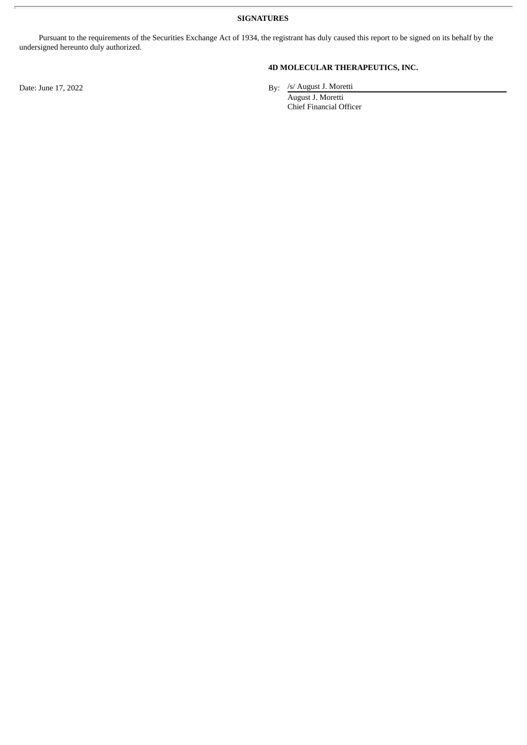**SIGNATURES**

Pursuant to the requirements of the Securities Exchange Act of 1934, the registrant has duly caused this report to be signed on its behalf by the undersigned hereunto duly authorized.

Date: June 17, 2022

# **4D MOLECULAR THERAPEUTICS, INC.**

By: /s/ August J. Moretti

August J. Moretti Chief Financial Officer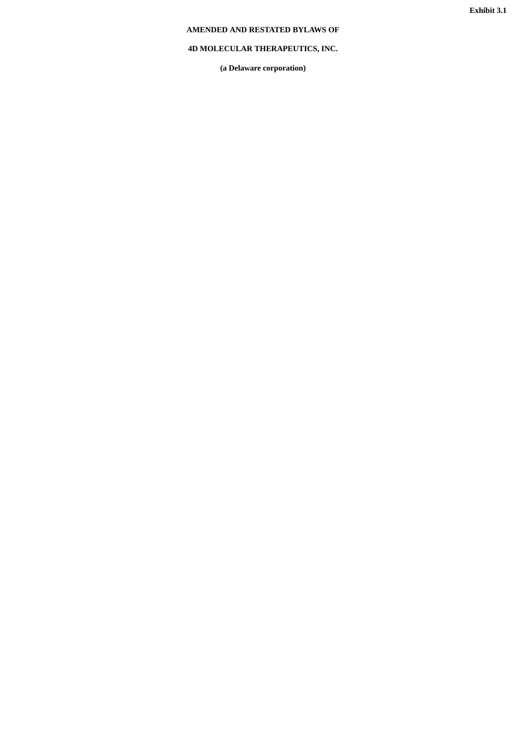# <span id="page-3-0"></span>**AMENDED AND RESTATED BYLAWS OF**

# **4D MOLECULAR THERAPEUTICS, INC.**

**(a Delaware corporation)**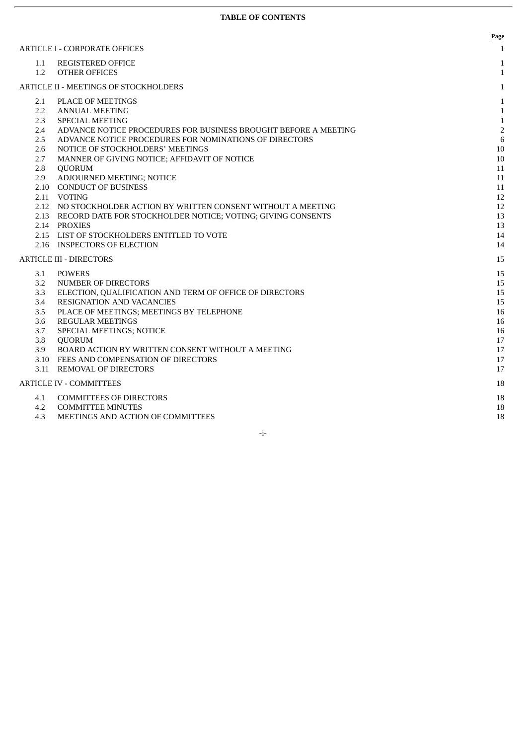|                  |                                                                  | Page           |
|------------------|------------------------------------------------------------------|----------------|
|                  | <b>ARTICLE I - CORPORATE OFFICES</b>                             | $\mathbf{1}$   |
| 1.1              | <b>REGISTERED OFFICE</b>                                         | $\mathbf{1}$   |
| 1.2              | <b>OTHER OFFICES</b>                                             | 1              |
|                  | <b>ARTICLE II - MEETINGS OF STOCKHOLDERS</b>                     | $\mathbf{1}$   |
| 2.1              | PLACE OF MEETINGS                                                | $\mathbf{1}$   |
| $2.2^{\circ}$    | <b>ANNUAL MEETING</b>                                            | 1              |
| 2.3              | <b>SPECIAL MEETING</b>                                           | $\mathbf{1}$   |
| 2.4              | ADVANCE NOTICE PROCEDURES FOR BUSINESS BROUGHT BEFORE A MEETING  | $\overline{2}$ |
| 2.5              | ADVANCE NOTICE PROCEDURES FOR NOMINATIONS OF DIRECTORS           | 6              |
| 2.6              | NOTICE OF STOCKHOLDERS' MEETINGS                                 | 10             |
| 2.7              | MANNER OF GIVING NOTICE; AFFIDAVIT OF NOTICE                     | 10             |
| 2.8              | <b>QUORUM</b>                                                    | 11             |
| 2.9              | ADJOURNED MEETING; NOTICE                                        | 11             |
|                  | 2.10 CONDUCT OF BUSINESS                                         | 11             |
|                  | 2.11 VOTING                                                      | 12             |
|                  | 2.12 NO STOCKHOLDER ACTION BY WRITTEN CONSENT WITHOUT A MEETING  | 12             |
|                  | 2.13 RECORD DATE FOR STOCKHOLDER NOTICE; VOTING; GIVING CONSENTS | 13             |
|                  | 2.14 PROXIES                                                     | 13             |
|                  | 2.15 LIST OF STOCKHOLDERS ENTITLED TO VOTE                       | 14             |
|                  | 2.16 INSPECTORS OF ELECTION                                      | 14             |
|                  | <b>ARTICLE III - DIRECTORS</b>                                   | 15             |
| 3.1              | <b>POWERS</b>                                                    | 15             |
| $3.2\phantom{0}$ | NUMBER OF DIRECTORS                                              | 15             |
| 3.3              | ELECTION, QUALIFICATION AND TERM OF OFFICE OF DIRECTORS          | 15             |
| 3.4              | <b>RESIGNATION AND VACANCIES</b>                                 | 15             |
| 3.5              | PLACE OF MEETINGS; MEETINGS BY TELEPHONE                         | 16             |
| 3.6              | <b>REGULAR MEETINGS</b>                                          | 16             |
| 3.7              | SPECIAL MEETINGS; NOTICE                                         | 16             |
| 3.8              | <b>QUORUM</b>                                                    | 17             |
| 3.9              | BOARD ACTION BY WRITTEN CONSENT WITHOUT A MEETING                | 17             |
|                  | 3.10 FEES AND COMPENSATION OF DIRECTORS                          | 17             |
|                  | 3.11 REMOVAL OF DIRECTORS                                        | 17             |
|                  | <b>ARTICLE IV - COMMITTEES</b>                                   | 18             |
| 4.1              | <b>COMMITTEES OF DIRECTORS</b>                                   | 18             |
| 4.2              | <b>COMMITTEE MINUTES</b>                                         | 18             |
| 4.3              | MEETINGS AND ACTION OF COMMITTEES                                | 18             |

-i-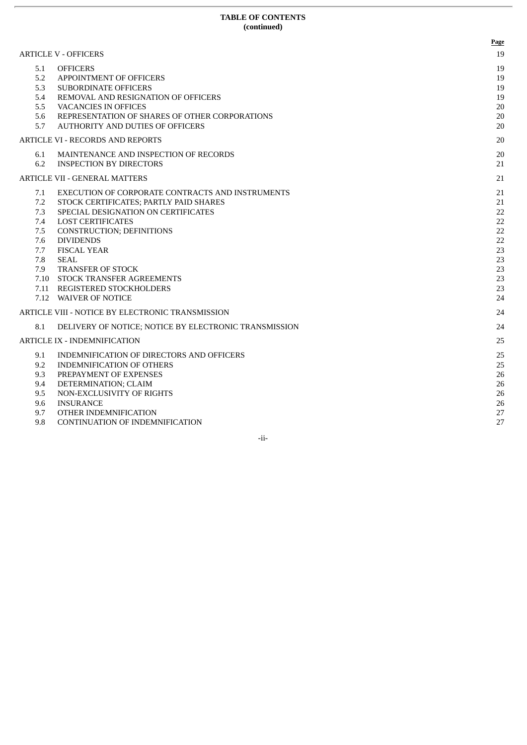#### **TABLE OF CONTENTS (continued)**

|                                                             |                                                                                                                                                                                                                                                                                                                                                                            | Page                                                                 |
|-------------------------------------------------------------|----------------------------------------------------------------------------------------------------------------------------------------------------------------------------------------------------------------------------------------------------------------------------------------------------------------------------------------------------------------------------|----------------------------------------------------------------------|
| 5.1<br>5.2<br>5.3<br>5.4<br>5.5<br>5.6<br>5.7               | <b>ARTICLE V - OFFICERS</b><br><b>OFFICERS</b><br><b>APPOINTMENT OF OFFICERS</b><br><b>SUBORDINATE OFFICERS</b><br>REMOVAL AND RESIGNATION OF OFFICERS<br><b>VACANCIES IN OFFICES</b><br>REPRESENTATION OF SHARES OF OTHER CORPORATIONS<br><b>AUTHORITY AND DUTIES OF OFFICERS</b>                                                                                         | 19<br>19<br>19<br>19<br>19<br>20<br>20<br>20                         |
|                                                             | <b>ARTICLE VI - RECORDS AND REPORTS</b>                                                                                                                                                                                                                                                                                                                                    | 20                                                                   |
| 6.1<br>6.2                                                  | MAINTENANCE AND INSPECTION OF RECORDS<br><b>INSPECTION BY DIRECTORS</b>                                                                                                                                                                                                                                                                                                    | 20<br>21                                                             |
|                                                             | <b>ARTICLE VII - GENERAL MATTERS</b>                                                                                                                                                                                                                                                                                                                                       | 21                                                                   |
| 7.1<br>7.2<br>7.3<br>7.4<br>7.5<br>7.6<br>7.7<br>7.8<br>7.9 | EXECUTION OF CORPORATE CONTRACTS AND INSTRUMENTS<br>STOCK CERTIFICATES; PARTLY PAID SHARES<br>SPECIAL DESIGNATION ON CERTIFICATES<br><b>LOST CERTIFICATES</b><br><b>CONSTRUCTION; DEFINITIONS</b><br><b>DIVIDENDS</b><br><b>FISCAL YEAR</b><br><b>SEAL</b><br>TRANSFER OF STOCK<br>7.10 STOCK TRANSFER AGREEMENTS<br>7.11 REGISTERED STOCKHOLDERS<br>7.12 WAIVER OF NOTICE | 21<br>21<br>22<br>22<br>22<br>22<br>23<br>23<br>23<br>23<br>23<br>24 |
|                                                             | ARTICLE VIII - NOTICE BY ELECTRONIC TRANSMISSION                                                                                                                                                                                                                                                                                                                           | 24                                                                   |
| 8.1                                                         | DELIVERY OF NOTICE; NOTICE BY ELECTRONIC TRANSMISSION<br><b>ARTICLE IX - INDEMNIFICATION</b>                                                                                                                                                                                                                                                                               | 24<br>25                                                             |
| 9.1<br>9.2<br>9.3<br>9.4<br>9.5<br>9.6<br>9.7<br>9.8        | INDEMNIFICATION OF DIRECTORS AND OFFICERS<br><b>INDEMNIFICATION OF OTHERS</b><br>PREPAYMENT OF EXPENSES<br>DETERMINATION; CLAIM<br>NON-EXCLUSIVITY OF RIGHTS<br><b>INSURANCE</b><br>OTHER INDEMNIFICATION<br>CONTINUATION OF INDEMNIFICATION                                                                                                                               | 25<br>25<br>26<br>26<br>26<br>26<br>27<br>27                         |

-ii-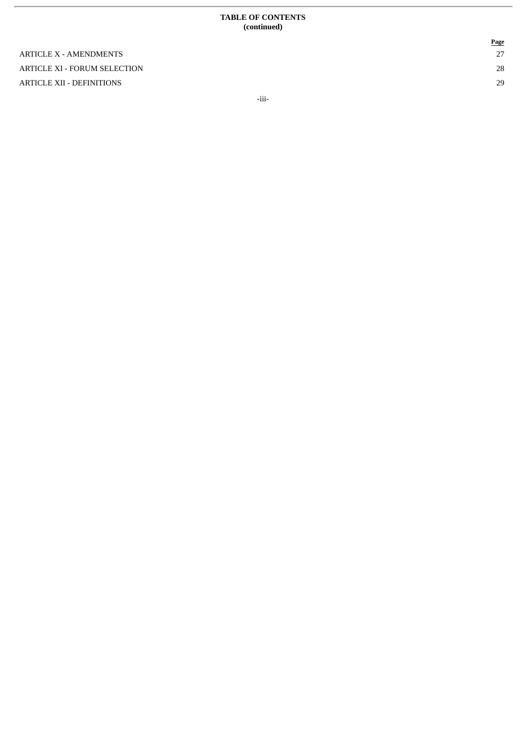#### **TABLE OF CONTENTS ( c o n t i n u e d )**

ARTICLE X - AMENDMENTS ARTICLE XI - FORUM SELECTION ARTICLE XII - DEFINITIONS

**P a g e** 2 7

2 8

2 9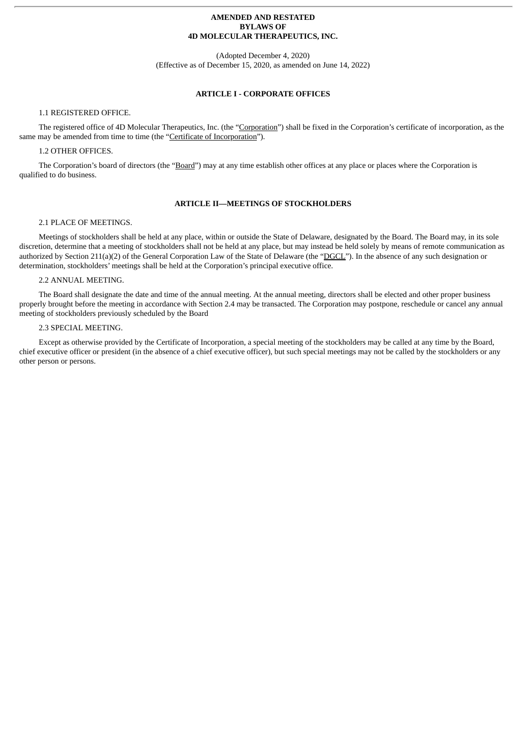#### **AMENDED AND RESTATED BYLAWS OF 4D MOLECULAR THERAPEUTICS, INC.**

(Adopted December 4, 2020) (Effective as of December 15, 2020, as amended on June 14, 2022)

# **ARTICLE I - CORPORATE OFFICES**

# 1.1 REGISTERED OFFICE.

The registered office of 4D Molecular Therapeutics, Inc. (the "Corporation") shall be fixed in the Corporation's certificate of incorporation, as the same may be amended from time to time (the "Certificate of Incorporation").

#### 1.2 OTHER OFFICES.

The Corporation's board of directors (the "Board") may at any time establish other offices at any place or places where the Corporation is qualified to do business.

#### **ARTICLE II—MEETINGS OF STOCKHOLDERS**

#### 2.1 PLACE OF MEETINGS.

Meetings of stockholders shall be held at any place, within or outside the State of Delaware, designated by the Board. The Board may, in its sole discretion, determine that a meeting of stockholders shall not be held at any place, but may instead be held solely by means of remote communication as authorized by Section 211(a)(2) of the General Corporation Law of the State of Delaware (the "DGCL"). In the absence of any such designation or determination, stockholders' meetings shall be held at the Corporation's principal executive office.

#### 2.2 ANNUAL MEETING.

The Board shall designate the date and time of the annual meeting. At the annual meeting, directors shall be elected and other proper business properly brought before the meeting in accordance with Section 2.4 may be transacted. The Corporation may postpone, reschedule or cancel any annual meeting of stockholders previously scheduled by the Board

#### 2.3 SPECIAL MEETING.

Except as otherwise provided by the Certificate of Incorporation, a special meeting of the stockholders may be called at any time by the Board, chief executive officer or president (in the absence of a chief executive officer), but such special meetings may not be called by the stockholders or any other person or persons.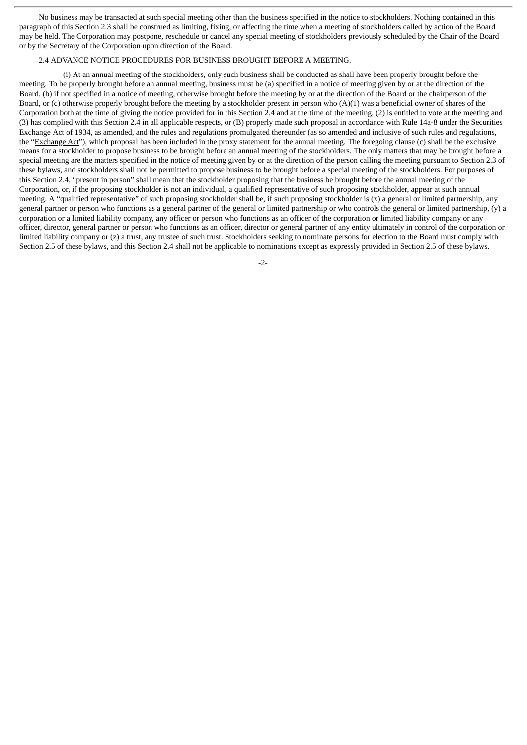No business may be transacted at such special meeting other than the business specified in the notice to stockholders. Nothing contained in this paragraph of this Section 2.3 shall be construed as limiting, fixing, or affecting the time when a meeting of stockholders called by action of the Board may be held. The Corporation may postpone, reschedule or cancel any special meeting of stockholders previously scheduled by the Chair of the Board or by the Secretary of the Corporation upon direction of the Board.

#### 2.4 ADVANCE NOTICE PROCEDURES FOR BUSINESS BROUGHT BEFORE A MEETING.

(i) At an annual meeting of the stockholders, only such business shall be conducted as shall have been properly brought before the meeting. To be properly brought before an annual meeting, business must be (a) specified in a notice of meeting given by or at the direction of the Board, (b) if not specified in a notice of meeting, otherwise brought before the meeting by or at the direction of the Board or the chairperson of the Board, or (c) otherwise properly brought before the meeting by a stockholder present in person who  $(A)(1)$  was a beneficial owner of shares of the Corporation both at the time of giving the notice provided for in this Section 2.4 and at the time of the meeting, (2) is entitled to vote at the meeting and (3) has complied with this Section 2.4 in all applicable respects, or (B) properly made such proposal in accordance with Rule 14a-8 under the Securities Exchange Act of 1934, as amended, and the rules and regulations promulgated thereunder (as so amended and inclusive of such rules and regulations, the "Exchange Act"), which proposal has been included in the proxy statement for the annual meeting. The foregoing clause (c) shall be the exclusive means for a stockholder to propose business to be brought before an annual meeting of the stockholders. The only matters that may be brought before a special meeting are the matters specified in the notice of meeting given by or at the direction of the person calling the meeting pursuant to Section 2.3 of these bylaws, and stockholders shall not be permitted to propose business to be brought before a special meeting of the stockholders. For purposes of this Section 2.4, "present in person" shall mean that the stockholder proposing that the business be brought before the annual meeting of the Corporation, or, if the proposing stockholder is not an individual, a qualified representative of such proposing stockholder, appear at such annual meeting. A "qualified representative" of such proposing stockholder shall be, if such proposing stockholder is (x) a general or limited partnership, any general partner or person who functions as a general partner of the general or limited partnership or who controls the general or limited partnership, (y) a corporation or a limited liability company, any officer or person who functions as an officer of the corporation or limited liability company or any officer, director, general partner or person who functions as an officer, director or general partner of any entity ultimately in control of the corporation or limited liability company or (z) a trust, any trustee of such trust. Stockholders seeking to nominate persons for election to the Board must comply with Section 2.5 of these bylaws, and this Section 2.4 shall not be applicable to nominations except as expressly provided in Section 2.5 of these bylaws.

-2-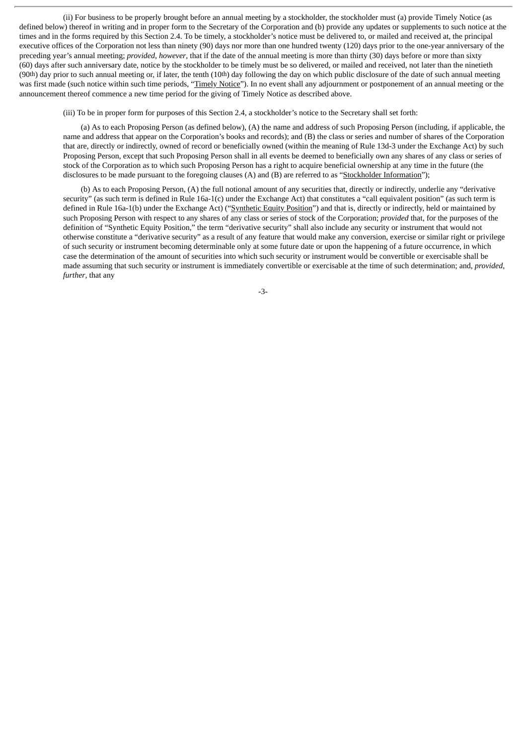(ii) For business to be properly brought before an annual meeting by a stockholder, the stockholder must (a) provide Timely Notice (as defined below) thereof in writing and in proper form to the Secretary of the Corporation and (b) provide any updates or supplements to such notice at the times and in the forms required by this Section 2.4. To be timely, a stockholder's notice must be delivered to, or mailed and received at, the principal executive offices of the Corporation not less than ninety (90) days nor more than one hundred twenty (120) days prior to the one-year anniversary of the preceding year's annual meeting; *provided, however*, that if the date of the annual meeting is more than thirty (30) days before or more than sixty (60) days after such anniversary date, notice by the stockholder to be timely must be so delivered, or mailed and received, not later than the ninetieth  $(90th)$  day prior to such annual meeting or, if later, the tenth  $(10th)$  day following the day on which public disclosure of the date of such annual meeting was first made (such notice within such time periods, "Timely Notice"). In no event shall any adjournment or postponement of an annual meeting or the announcement thereof commence a new time period for the giving of Timely Notice as described above.

(iii) To be in proper form for purposes of this Section 2.4, a stockholder's notice to the Secretary shall set forth:

(a) As to each Proposing Person (as defined below), (A) the name and address of such Proposing Person (including, if applicable, the name and address that appear on the Corporation's books and records); and (B) the class or series and number of shares of the Corporation that are, directly or indirectly, owned of record or beneficially owned (within the meaning of Rule 13d-3 under the Exchange Act) by such Proposing Person, except that such Proposing Person shall in all events be deemed to beneficially own any shares of any class or series of stock of the Corporation as to which such Proposing Person has a right to acquire beneficial ownership at any time in the future (the disclosures to be made pursuant to the foregoing clauses (A) and (B) are referred to as "Stockholder Information");

(b) As to each Proposing Person, (A) the full notional amount of any securities that, directly or indirectly, underlie any "derivative security" (as such term is defined in Rule 16a-1(c) under the Exchange Act) that constitutes a "call equivalent position" (as such term is defined in Rule 16a-1(b) under the Exchange Act) ("Synthetic Equity Position") and that is, directly or indirectly, held or maintained by such Proposing Person with respect to any shares of any class or series of stock of the Corporation; *provided* that, for the purposes of the definition of "Synthetic Equity Position," the term "derivative security" shall also include any security or instrument that would not otherwise constitute a "derivative security" as a result of any feature that would make any conversion, exercise or similar right or privilege of such security or instrument becoming determinable only at some future date or upon the happening of a future occurrence, in which case the determination of the amount of securities into which such security or instrument would be convertible or exercisable shall be made assuming that such security or instrument is immediately convertible or exercisable at the time of such determination; and, *provided*, *further*, that any

-3-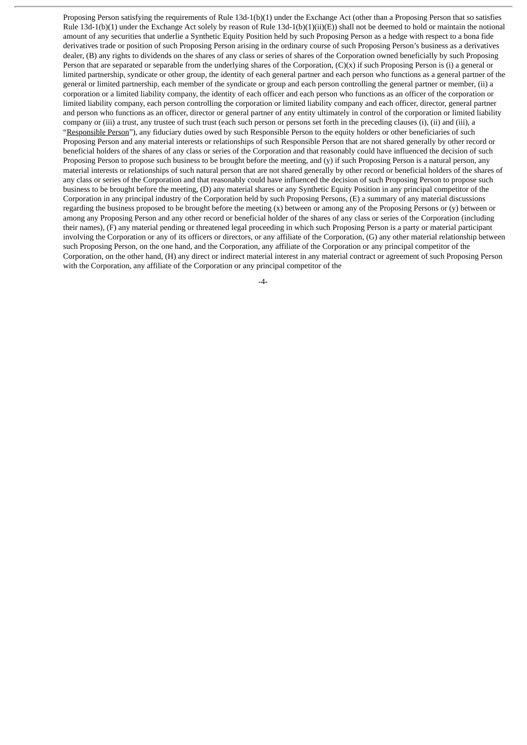Proposing Person satisfying the requirements of Rule 13d-1(b)(1) under the Exchange Act (other than a Proposing Person that so satisfies Rule 13d-1(b)(1) under the Exchange Act solely by reason of Rule 13d-1(b)(1)(ii)(E)) shall not be deemed to hold or maintain the notional amount of any securities that underlie a Synthetic Equity Position held by such Proposing Person as a hedge with respect to a bona fide derivatives trade or position of such Proposing Person arising in the ordinary course of such Proposing Person's business as a derivatives dealer, (B) any rights to dividends on the shares of any class or series of shares of the Corporation owned beneficially by such Proposing Person that are separated or separable from the underlying shares of the Corporation,  $(C)(x)$  if such Proposing Person is (i) a general or limited partnership, syndicate or other group, the identity of each general partner and each person who functions as a general partner of the general or limited partnership, each member of the syndicate or group and each person controlling the general partner or member, (ii) a corporation or a limited liability company, the identity of each officer and each person who functions as an officer of the corporation or limited liability company, each person controlling the corporation or limited liability company and each officer, director, general partner and person who functions as an officer, director or general partner of any entity ultimately in control of the corporation or limited liability company or (iii) a trust, any trustee of such trust (each such person or persons set forth in the preceding clauses (i), (ii) and (iii), a "Responsible Person"), any fiduciary duties owed by such Responsible Person to the equity holders or other beneficiaries of such Proposing Person and any material interests or relationships of such Responsible Person that are not shared generally by other record or beneficial holders of the shares of any class or series of the Corporation and that reasonably could have influenced the decision of such Proposing Person to propose such business to be brought before the meeting, and (y) if such Proposing Person is a natural person, any material interests or relationships of such natural person that are not shared generally by other record or beneficial holders of the shares of any class or series of the Corporation and that reasonably could have influenced the decision of such Proposing Person to propose such business to be brought before the meeting, (D) any material shares or any Synthetic Equity Position in any principal competitor of the Corporation in any principal industry of the Corporation held by such Proposing Persons, (E) a summary of any material discussions regarding the business proposed to be brought before the meeting (x) between or among any of the Proposing Persons or (y) between or among any Proposing Person and any other record or beneficial holder of the shares of any class or series of the Corporation (including their names), (F) any material pending or threatened legal proceeding in which such Proposing Person is a party or material participant involving the Corporation or any of its officers or directors, or any affiliate of the Corporation, (G) any other material relationship between such Proposing Person, on the one hand, and the Corporation, any affiliate of the Corporation or any principal competitor of the Corporation, on the other hand, (H) any direct or indirect material interest in any material contract or agreement of such Proposing Person with the Corporation, any affiliate of the Corporation or any principal competitor of the

 $-4-$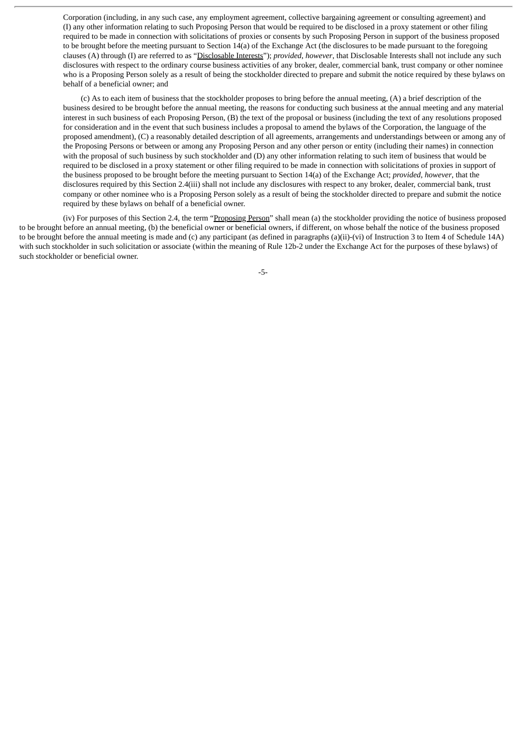Corporation (including, in any such case, any employment agreement, collective bargaining agreement or consulting agreement) and (I) any other information relating to such Proposing Person that would be required to be disclosed in a proxy statement or other filing required to be made in connection with solicitations of proxies or consents by such Proposing Person in support of the business proposed to be brought before the meeting pursuant to Section 14(a) of the Exchange Act (the disclosures to be made pursuant to the foregoing clauses (A) through (I) are referred to as "Disclosable Interests"); *provided*, *however*, that Disclosable Interests shall not include any such disclosures with respect to the ordinary course business activities of any broker, dealer, commercial bank, trust company or other nominee who is a Proposing Person solely as a result of being the stockholder directed to prepare and submit the notice required by these bylaws on behalf of a beneficial owner; and

(c) As to each item of business that the stockholder proposes to bring before the annual meeting, (A) a brief description of the business desired to be brought before the annual meeting, the reasons for conducting such business at the annual meeting and any material interest in such business of each Proposing Person, (B) the text of the proposal or business (including the text of any resolutions proposed for consideration and in the event that such business includes a proposal to amend the bylaws of the Corporation, the language of the proposed amendment), (C) a reasonably detailed description of all agreements, arrangements and understandings between or among any of the Proposing Persons or between or among any Proposing Person and any other person or entity (including their names) in connection with the proposal of such business by such stockholder and (D) any other information relating to such item of business that would be required to be disclosed in a proxy statement or other filing required to be made in connection with solicitations of proxies in support of the business proposed to be brought before the meeting pursuant to Section 14(a) of the Exchange Act; *provided*, *however*, that the disclosures required by this Section 2.4(iii) shall not include any disclosures with respect to any broker, dealer, commercial bank, trust company or other nominee who is a Proposing Person solely as a result of being the stockholder directed to prepare and submit the notice required by these bylaws on behalf of a beneficial owner.

(iv) For purposes of this Section 2.4, the term "Proposing Person" shall mean (a) the stockholder providing the notice of business proposed to be brought before an annual meeting, (b) the beneficial owner or beneficial owners, if different, on whose behalf the notice of the business proposed to be brought before the annual meeting is made and (c) any participant (as defined in paragraphs (a)(ii)-(vi) of Instruction 3 to Item 4 of Schedule 14A) with such stockholder in such solicitation or associate (within the meaning of Rule 12b-2 under the Exchange Act for the purposes of these bylaws) of such stockholder or beneficial owner.

-5-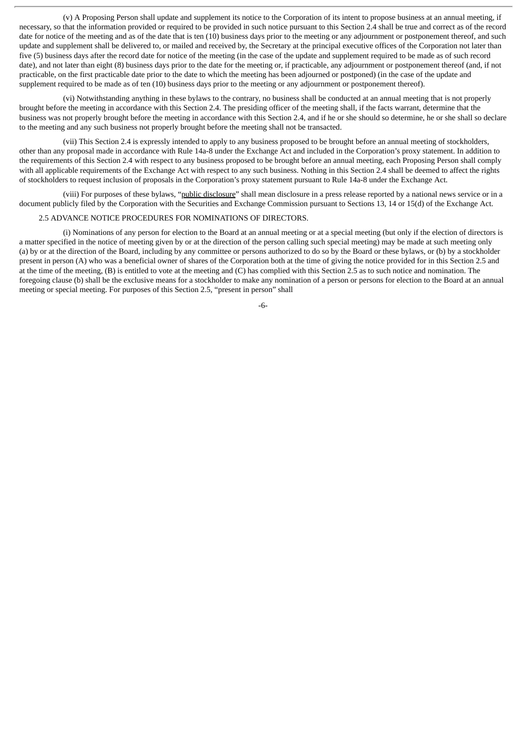(v) A Proposing Person shall update and supplement its notice to the Corporation of its intent to propose business at an annual meeting, if necessary, so that the information provided or required to be provided in such notice pursuant to this Section 2.4 shall be true and correct as of the record date for notice of the meeting and as of the date that is ten (10) business days prior to the meeting or any adjournment or postponement thereof, and such update and supplement shall be delivered to, or mailed and received by, the Secretary at the principal executive offices of the Corporation not later than five (5) business days after the record date for notice of the meeting (in the case of the update and supplement required to be made as of such record date), and not later than eight (8) business days prior to the date for the meeting or, if practicable, any adjournment or postponement thereof (and, if not practicable, on the first practicable date prior to the date to which the meeting has been adjourned or postponed) (in the case of the update and supplement required to be made as of ten (10) business days prior to the meeting or any adjournment or postponement thereof).

(vi) Notwithstanding anything in these bylaws to the contrary, no business shall be conducted at an annual meeting that is not properly brought before the meeting in accordance with this Section 2.4. The presiding officer of the meeting shall, if the facts warrant, determine that the business was not properly brought before the meeting in accordance with this Section 2.4, and if he or she should so determine, he or she shall so declare to the meeting and any such business not properly brought before the meeting shall not be transacted.

(vii) This Section 2.4 is expressly intended to apply to any business proposed to be brought before an annual meeting of stockholders, other than any proposal made in accordance with Rule 14a-8 under the Exchange Act and included in the Corporation's proxy statement. In addition to the requirements of this Section 2.4 with respect to any business proposed to be brought before an annual meeting, each Proposing Person shall comply with all applicable requirements of the Exchange Act with respect to any such business. Nothing in this Section 2.4 shall be deemed to affect the rights of stockholders to request inclusion of proposals in the Corporation's proxy statement pursuant to Rule 14a-8 under the Exchange Act.

(viii) For purposes of these bylaws, "public disclosure" shall mean disclosure in a press release reported by a national news service or in a document publicly filed by the Corporation with the Securities and Exchange Commission pursuant to Sections 13, 14 or 15(d) of the Exchange Act.

#### 2.5 ADVANCE NOTICE PROCEDURES FOR NOMINATIONS OF DIRECTORS.

(i) Nominations of any person for election to the Board at an annual meeting or at a special meeting (but only if the election of directors is a matter specified in the notice of meeting given by or at the direction of the person calling such special meeting) may be made at such meeting only (a) by or at the direction of the Board, including by any committee or persons authorized to do so by the Board or these bylaws, or (b) by a stockholder present in person (A) who was a beneficial owner of shares of the Corporation both at the time of giving the notice provided for in this Section 2.5 and at the time of the meeting, (B) is entitled to vote at the meeting and (C) has complied with this Section 2.5 as to such notice and nomination. The foregoing clause (b) shall be the exclusive means for a stockholder to make any nomination of a person or persons for election to the Board at an annual meeting or special meeting. For purposes of this Section 2.5, "present in person" shall

-6-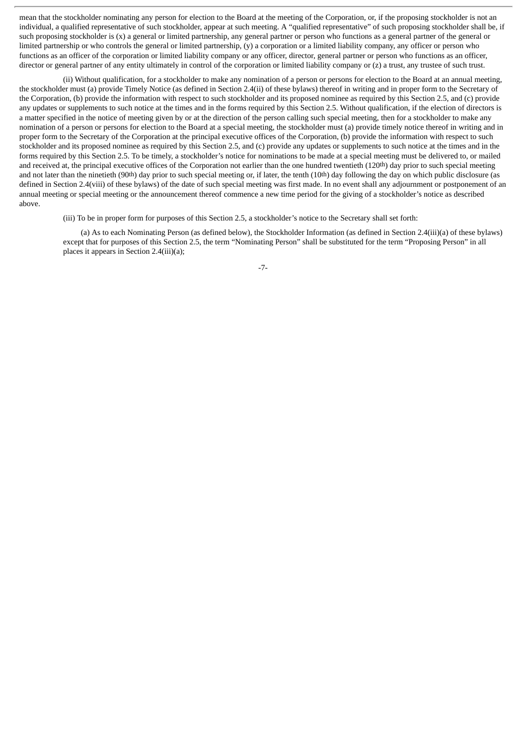mean that the stockholder nominating any person for election to the Board at the meeting of the Corporation, or, if the proposing stockholder is not an individual, a qualified representative of such stockholder, appear at such meeting. A "qualified representative" of such proposing stockholder shall be, if such proposing stockholder is (x) a general or limited partnership, any general partner or person who functions as a general partner of the general or limited partnership or who controls the general or limited partnership, (y) a corporation or a limited liability company, any officer or person who functions as an officer of the corporation or limited liability company or any officer, director, general partner or person who functions as an officer, director or general partner of any entity ultimately in control of the corporation or limited liability company or (z) a trust, any trustee of such trust.

(ii) Without qualification, for a stockholder to make any nomination of a person or persons for election to the Board at an annual meeting, the stockholder must (a) provide Timely Notice (as defined in Section 2.4(ii) of these bylaws) thereof in writing and in proper form to the Secretary of the Corporation, (b) provide the information with respect to such stockholder and its proposed nominee as required by this Section 2.5, and (c) provide any updates or supplements to such notice at the times and in the forms required by this Section 2.5. Without qualification, if the election of directors is a matter specified in the notice of meeting given by or at the direction of the person calling such special meeting, then for a stockholder to make any nomination of a person or persons for election to the Board at a special meeting, the stockholder must (a) provide timely notice thereof in writing and in proper form to the Secretary of the Corporation at the principal executive offices of the Corporation, (b) provide the information with respect to such stockholder and its proposed nominee as required by this Section 2.5, and (c) provide any updates or supplements to such notice at the times and in the forms required by this Section 2.5. To be timely, a stockholder's notice for nominations to be made at a special meeting must be delivered to, or mailed and received at, the principal executive offices of the Corporation not earlier than the one hundred twentieth (120<sup>th</sup>) day prior to such special meeting and not later than the ninetieth (90<sup>th</sup>) day prior to such special meeting or, if later, the tenth (10<sup>th</sup>) day following the day on which public disclosure (as defined in Section 2.4(viii) of these bylaws) of the date of such special meeting was first made. In no event shall any adjournment or postponement of an annual meeting or special meeting or the announcement thereof commence a new time period for the giving of a stockholder's notice as described above.

(iii) To be in proper form for purposes of this Section 2.5, a stockholder's notice to the Secretary shall set forth:

(a) As to each Nominating Person (as defined below), the Stockholder Information (as defined in Section 2.4(iii)(a) of these bylaws) except that for purposes of this Section 2.5, the term "Nominating Person" shall be substituted for the term "Proposing Person" in all places it appears in Section 2.4(iii)(a);

-7-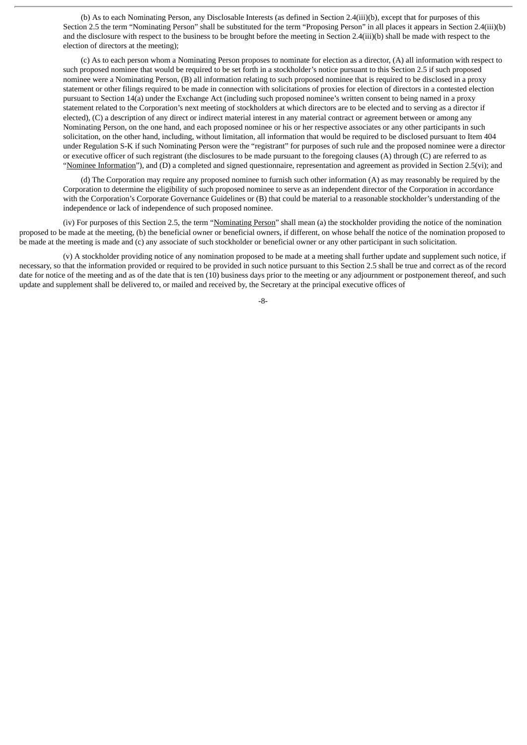(b) As to each Nominating Person, any Disclosable Interests (as defined in Section 2.4(iii)(b), except that for purposes of this Section 2.5 the term "Nominating Person" shall be substituted for the term "Proposing Person" in all places it appears in Section 2.4(iii)(b) and the disclosure with respect to the business to be brought before the meeting in Section 2.4(iii)(b) shall be made with respect to the election of directors at the meeting);

(c) As to each person whom a Nominating Person proposes to nominate for election as a director, (A) all information with respect to such proposed nominee that would be required to be set forth in a stockholder's notice pursuant to this Section 2.5 if such proposed nominee were a Nominating Person, (B) all information relating to such proposed nominee that is required to be disclosed in a proxy statement or other filings required to be made in connection with solicitations of proxies for election of directors in a contested election pursuant to Section 14(a) under the Exchange Act (including such proposed nominee's written consent to being named in a proxy statement related to the Corporation's next meeting of stockholders at which directors are to be elected and to serving as a director if elected), (C) a description of any direct or indirect material interest in any material contract or agreement between or among any Nominating Person, on the one hand, and each proposed nominee or his or her respective associates or any other participants in such solicitation, on the other hand, including, without limitation, all information that would be required to be disclosed pursuant to Item 404 under Regulation S-K if such Nominating Person were the "registrant" for purposes of such rule and the proposed nominee were a director or executive officer of such registrant (the disclosures to be made pursuant to the foregoing clauses (A) through (C) are referred to as "Nominee Information"), and (D) a completed and signed questionnaire, representation and agreement as provided in Section 2.5(vi); and

(d) The Corporation may require any proposed nominee to furnish such other information (A) as may reasonably be required by the Corporation to determine the eligibility of such proposed nominee to serve as an independent director of the Corporation in accordance with the Corporation's Corporate Governance Guidelines or (B) that could be material to a reasonable stockholder's understanding of the independence or lack of independence of such proposed nominee.

(iv) For purposes of this Section 2.5, the term "Nominating Person" shall mean (a) the stockholder providing the notice of the nomination proposed to be made at the meeting, (b) the beneficial owner or beneficial owners, if different, on whose behalf the notice of the nomination proposed to be made at the meeting is made and (c) any associate of such stockholder or beneficial owner or any other participant in such solicitation.

(v) A stockholder providing notice of any nomination proposed to be made at a meeting shall further update and supplement such notice, if necessary, so that the information provided or required to be provided in such notice pursuant to this Section 2.5 shall be true and correct as of the record date for notice of the meeting and as of the date that is ten (10) business days prior to the meeting or any adjournment or postponement thereof, and such update and supplement shall be delivered to, or mailed and received by, the Secretary at the principal executive offices of

-8-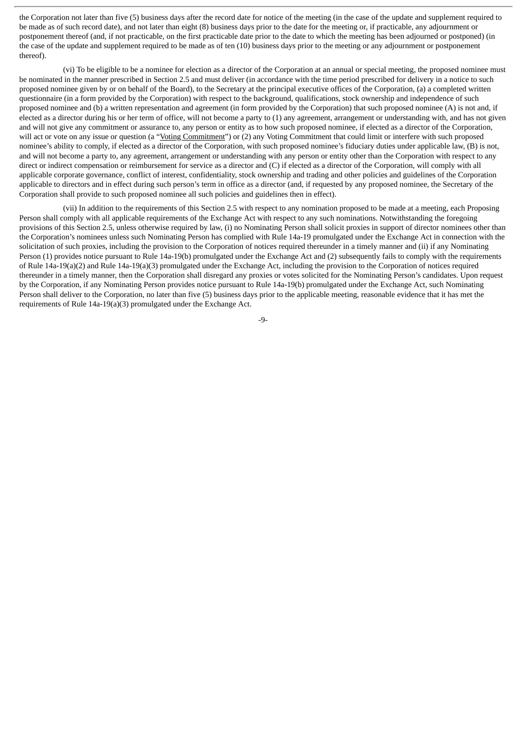the Corporation not later than five (5) business days after the record date for notice of the meeting (in the case of the update and supplement required to be made as of such record date), and not later than eight (8) business days prior to the date for the meeting or, if practicable, any adjournment or postponement thereof (and, if not practicable, on the first practicable date prior to the date to which the meeting has been adjourned or postponed) (in the case of the update and supplement required to be made as of ten (10) business days prior to the meeting or any adjournment or postponement thereof).

(vi) To be eligible to be a nominee for election as a director of the Corporation at an annual or special meeting, the proposed nominee must be nominated in the manner prescribed in Section 2.5 and must deliver (in accordance with the time period prescribed for delivery in a notice to such proposed nominee given by or on behalf of the Board), to the Secretary at the principal executive offices of the Corporation, (a) a completed written questionnaire (in a form provided by the Corporation) with respect to the background, qualifications, stock ownership and independence of such proposed nominee and (b) a written representation and agreement (in form provided by the Corporation) that such proposed nominee (A) is not and, if elected as a director during his or her term of office, will not become a party to (1) any agreement, arrangement or understanding with, and has not given and will not give any commitment or assurance to, any person or entity as to how such proposed nominee, if elected as a director of the Corporation, will act or vote on any issue or question (a "Voting Commitment") or (2) any Voting Commitment that could limit or interfere with such proposed nominee's ability to comply, if elected as a director of the Corporation, with such proposed nominee's fiduciary duties under applicable law, (B) is not, and will not become a party to, any agreement, arrangement or understanding with any person or entity other than the Corporation with respect to any direct or indirect compensation or reimbursement for service as a director and (C) if elected as a director of the Corporation, will comply with all applicable corporate governance, conflict of interest, confidentiality, stock ownership and trading and other policies and guidelines of the Corporation applicable to directors and in effect during such person's term in office as a director (and, if requested by any proposed nominee, the Secretary of the Corporation shall provide to such proposed nominee all such policies and guidelines then in effect).

(vii) In addition to the requirements of this Section 2.5 with respect to any nomination proposed to be made at a meeting, each Proposing Person shall comply with all applicable requirements of the Exchange Act with respect to any such nominations. Notwithstanding the foregoing provisions of this Section 2.5, unless otherwise required by law, (i) no Nominating Person shall solicit proxies in support of director nominees other than the Corporation's nominees unless such Nominating Person has complied with Rule 14a-19 promulgated under the Exchange Act in connection with the solicitation of such proxies, including the provision to the Corporation of notices required thereunder in a timely manner and (ii) if any Nominating Person (1) provides notice pursuant to Rule 14a-19(b) promulgated under the Exchange Act and (2) subsequently fails to comply with the requirements of Rule 14a-19(a)(2) and Rule 14a-19(a)(3) promulgated under the Exchange Act, including the provision to the Corporation of notices required thereunder in a timely manner, then the Corporation shall disregard any proxies or votes solicited for the Nominating Person's candidates. Upon request by the Corporation, if any Nominating Person provides notice pursuant to Rule 14a-19(b) promulgated under the Exchange Act, such Nominating Person shall deliver to the Corporation, no later than five (5) business days prior to the applicable meeting, reasonable evidence that it has met the requirements of Rule 14a-19(a)(3) promulgated under the Exchange Act.

-9-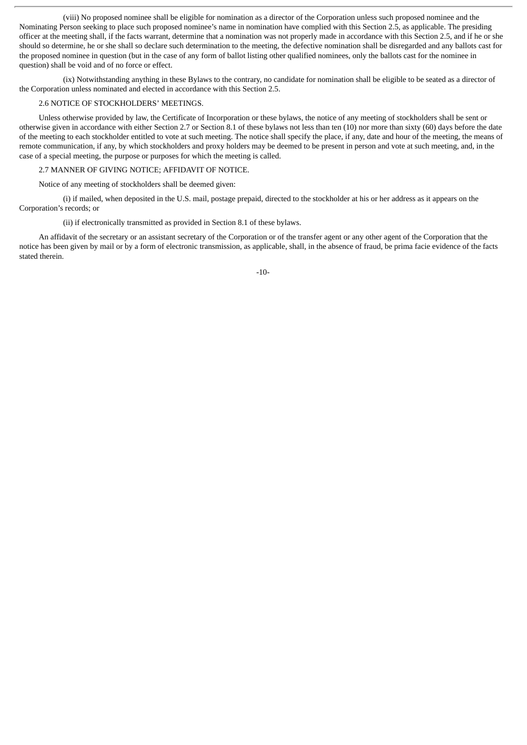(viii) No proposed nominee shall be eligible for nomination as a director of the Corporation unless such proposed nominee and the Nominating Person seeking to place such proposed nominee's name in nomination have complied with this Section 2.5, as applicable. The presiding officer at the meeting shall, if the facts warrant, determine that a nomination was not properly made in accordance with this Section 2.5, and if he or she should so determine, he or she shall so declare such determination to the meeting, the defective nomination shall be disregarded and any ballots cast for the proposed nominee in question (but in the case of any form of ballot listing other qualified nominees, only the ballots cast for the nominee in question) shall be void and of no force or effect.

(ix) Notwithstanding anything in these Bylaws to the contrary, no candidate for nomination shall be eligible to be seated as a director of the Corporation unless nominated and elected in accordance with this Section 2.5.

#### 2.6 NOTICE OF STOCKHOLDERS' MEETINGS.

Unless otherwise provided by law, the Certificate of Incorporation or these bylaws, the notice of any meeting of stockholders shall be sent or otherwise given in accordance with either Section 2.7 or Section 8.1 of these bylaws not less than ten (10) nor more than sixty (60) days before the date of the meeting to each stockholder entitled to vote at such meeting. The notice shall specify the place, if any, date and hour of the meeting, the means of remote communication, if any, by which stockholders and proxy holders may be deemed to be present in person and vote at such meeting, and, in the case of a special meeting, the purpose or purposes for which the meeting is called.

# 2.7 MANNER OF GIVING NOTICE; AFFIDAVIT OF NOTICE.

Notice of any meeting of stockholders shall be deemed given:

(i) if mailed, when deposited in the U.S. mail, postage prepaid, directed to the stockholder at his or her address as it appears on the Corporation's records; or

(ii) if electronically transmitted as provided in Section 8.1 of these bylaws.

An affidavit of the secretary or an assistant secretary of the Corporation or of the transfer agent or any other agent of the Corporation that the notice has been given by mail or by a form of electronic transmission, as applicable, shall, in the absence of fraud, be prima facie evidence of the facts stated therein.

-10-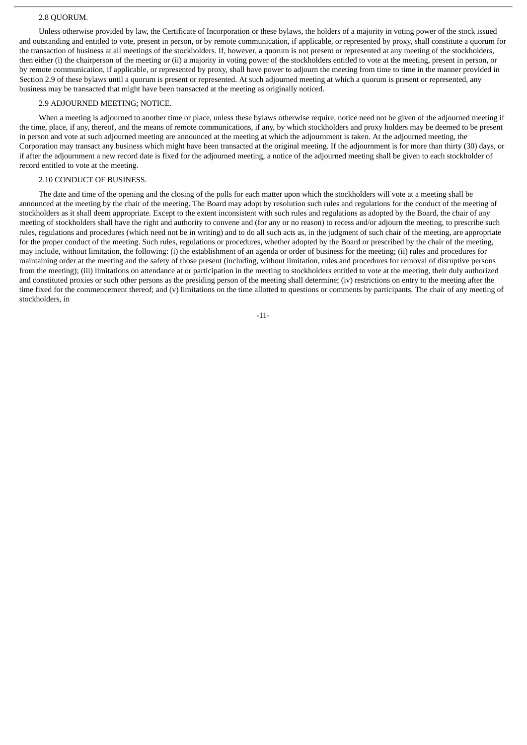#### 2.8 QUORUM.

Unless otherwise provided by law, the Certificate of Incorporation or these bylaws, the holders of a majority in voting power of the stock issued and outstanding and entitled to vote, present in person, or by remote communication, if applicable, or represented by proxy, shall constitute a quorum for the transaction of business at all meetings of the stockholders. If, however, a quorum is not present or represented at any meeting of the stockholders, then either (i) the chairperson of the meeting or (ii) a majority in voting power of the stockholders entitled to vote at the meeting, present in person, or by remote communication, if applicable, or represented by proxy, shall have power to adjourn the meeting from time to time in the manner provided in Section 2.9 of these bylaws until a quorum is present or represented. At such adjourned meeting at which a quorum is present or represented, any business may be transacted that might have been transacted at the meeting as originally noticed.

#### 2.9 ADJOURNED MEETING; NOTICE.

When a meeting is adjourned to another time or place, unless these bylaws otherwise require, notice need not be given of the adjourned meeting if the time, place, if any, thereof, and the means of remote communications, if any, by which stockholders and proxy holders may be deemed to be present in person and vote at such adjourned meeting are announced at the meeting at which the adjournment is taken. At the adjourned meeting, the Corporation may transact any business which might have been transacted at the original meeting. If the adjournment is for more than thirty (30) days, or if after the adjournment a new record date is fixed for the adjourned meeting, a notice of the adjourned meeting shall be given to each stockholder of record entitled to vote at the meeting.

# 2.10 CONDUCT OF BUSINESS.

The date and time of the opening and the closing of the polls for each matter upon which the stockholders will vote at a meeting shall be announced at the meeting by the chair of the meeting. The Board may adopt by resolution such rules and regulations for the conduct of the meeting of stockholders as it shall deem appropriate. Except to the extent inconsistent with such rules and regulations as adopted by the Board, the chair of any meeting of stockholders shall have the right and authority to convene and (for any or no reason) to recess and/or adjourn the meeting, to prescribe such rules, regulations and procedures (which need not be in writing) and to do all such acts as, in the judgment of such chair of the meeting, are appropriate for the proper conduct of the meeting. Such rules, regulations or procedures, whether adopted by the Board or prescribed by the chair of the meeting, may include, without limitation, the following: (i) the establishment of an agenda or order of business for the meeting; (ii) rules and procedures for maintaining order at the meeting and the safety of those present (including, without limitation, rules and procedures for removal of disruptive persons from the meeting); (iii) limitations on attendance at or participation in the meeting to stockholders entitled to vote at the meeting, their duly authorized and constituted proxies or such other persons as the presiding person of the meeting shall determine; (iv) restrictions on entry to the meeting after the time fixed for the commencement thereof; and (v) limitations on the time allotted to questions or comments by participants. The chair of any meeting of stockholders, in

-11-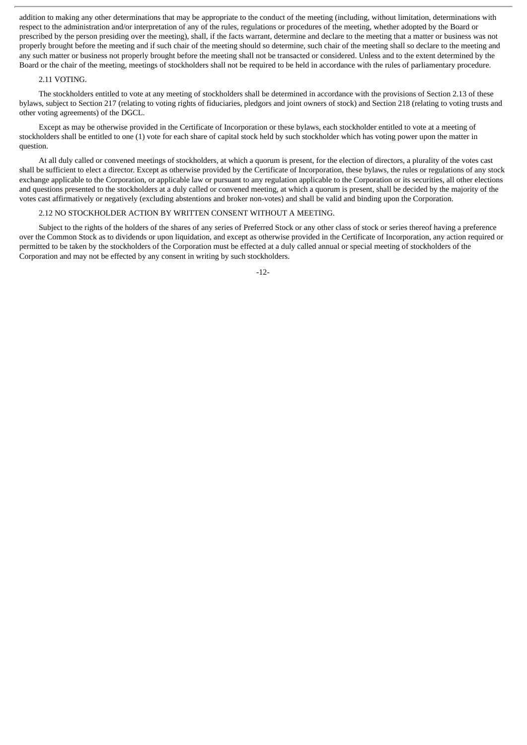addition to making any other determinations that may be appropriate to the conduct of the meeting (including, without limitation, determinations with respect to the administration and/or interpretation of any of the rules, regulations or procedures of the meeting, whether adopted by the Board or prescribed by the person presiding over the meeting), shall, if the facts warrant, determine and declare to the meeting that a matter or business was not properly brought before the meeting and if such chair of the meeting should so determine, such chair of the meeting shall so declare to the meeting and any such matter or business not properly brought before the meeting shall not be transacted or considered. Unless and to the extent determined by the Board or the chair of the meeting, meetings of stockholders shall not be required to be held in accordance with the rules of parliamentary procedure.

#### 2.11 VOTING.

The stockholders entitled to vote at any meeting of stockholders shall be determined in accordance with the provisions of Section 2.13 of these bylaws, subject to Section 217 (relating to voting rights of fiduciaries, pledgors and joint owners of stock) and Section 218 (relating to voting trusts and other voting agreements) of the DGCL.

Except as may be otherwise provided in the Certificate of Incorporation or these bylaws, each stockholder entitled to vote at a meeting of stockholders shall be entitled to one (1) vote for each share of capital stock held by such stockholder which has voting power upon the matter in question.

At all duly called or convened meetings of stockholders, at which a quorum is present, for the election of directors, a plurality of the votes cast shall be sufficient to elect a director. Except as otherwise provided by the Certificate of Incorporation, these bylaws, the rules or regulations of any stock exchange applicable to the Corporation, or applicable law or pursuant to any regulation applicable to the Corporation or its securities, all other elections and questions presented to the stockholders at a duly called or convened meeting, at which a quorum is present, shall be decided by the majority of the votes cast affirmatively or negatively (excluding abstentions and broker non-votes) and shall be valid and binding upon the Corporation.

#### 2.12 NO STOCKHOLDER ACTION BY WRITTEN CONSENT WITHOUT A MEETING.

Subject to the rights of the holders of the shares of any series of Preferred Stock or any other class of stock or series thereof having a preference over the Common Stock as to dividends or upon liquidation, and except as otherwise provided in the Certificate of Incorporation, any action required or permitted to be taken by the stockholders of the Corporation must be effected at a duly called annual or special meeting of stockholders of the Corporation and may not be effected by any consent in writing by such stockholders.

-12-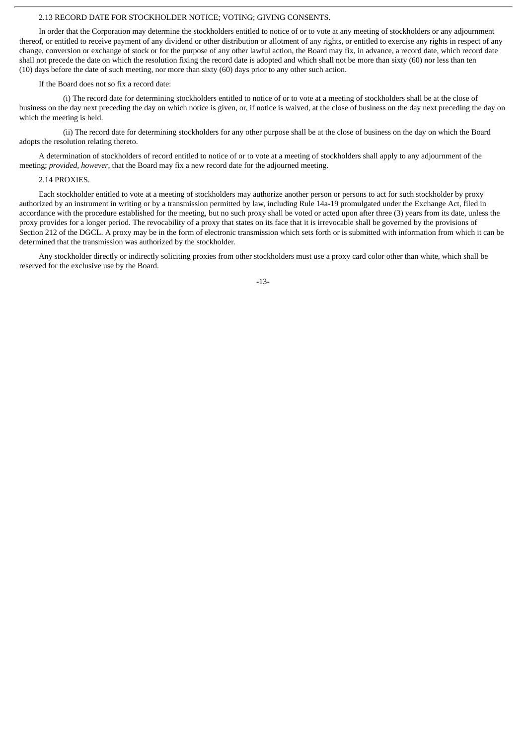#### 2.13 RECORD DATE FOR STOCKHOLDER NOTICE; VOTING; GIVING CONSENTS.

In order that the Corporation may determine the stockholders entitled to notice of or to vote at any meeting of stockholders or any adjournment thereof, or entitled to receive payment of any dividend or other distribution or allotment of any rights, or entitled to exercise any rights in respect of any change, conversion or exchange of stock or for the purpose of any other lawful action, the Board may fix, in advance, a record date, which record date shall not precede the date on which the resolution fixing the record date is adopted and which shall not be more than sixty (60) nor less than ten (10) days before the date of such meeting, nor more than sixty (60) days prior to any other such action.

#### If the Board does not so fix a record date:

(i) The record date for determining stockholders entitled to notice of or to vote at a meeting of stockholders shall be at the close of business on the day next preceding the day on which notice is given, or, if notice is waived, at the close of business on the day next preceding the day on which the meeting is held.

(ii) The record date for determining stockholders for any other purpose shall be at the close of business on the day on which the Board adopts the resolution relating thereto.

A determination of stockholders of record entitled to notice of or to vote at a meeting of stockholders shall apply to any adjournment of the meeting; *provided, however*, that the Board may fix a new record date for the adjourned meeting.

#### 2.14 PROXIES.

Each stockholder entitled to vote at a meeting of stockholders may authorize another person or persons to act for such stockholder by proxy authorized by an instrument in writing or by a transmission permitted by law, including Rule 14a-19 promulgated under the Exchange Act, filed in accordance with the procedure established for the meeting, but no such proxy shall be voted or acted upon after three (3) years from its date, unless the proxy provides for a longer period. The revocability of a proxy that states on its face that it is irrevocable shall be governed by the provisions of Section 212 of the DGCL. A proxy may be in the form of electronic transmission which sets forth or is submitted with information from which it can be determined that the transmission was authorized by the stockholder.

Any stockholder directly or indirectly soliciting proxies from other stockholders must use a proxy card color other than white, which shall be reserved for the exclusive use by the Board.

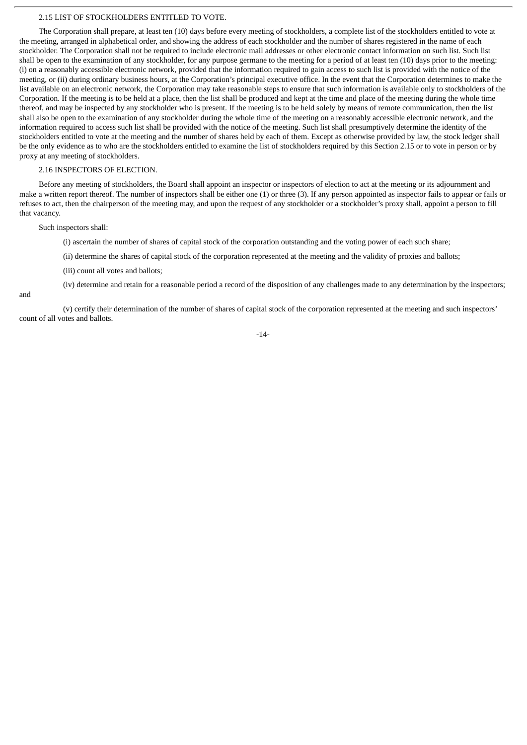#### 2.15 LIST OF STOCKHOLDERS ENTITLED TO VOTE.

The Corporation shall prepare, at least ten (10) days before every meeting of stockholders, a complete list of the stockholders entitled to vote at the meeting, arranged in alphabetical order, and showing the address of each stockholder and the number of shares registered in the name of each stockholder. The Corporation shall not be required to include electronic mail addresses or other electronic contact information on such list. Such list shall be open to the examination of any stockholder, for any purpose germane to the meeting for a period of at least ten (10) days prior to the meeting: (i) on a reasonably accessible electronic network, provided that the information required to gain access to such list is provided with the notice of the meeting, or (ii) during ordinary business hours, at the Corporation's principal executive office. In the event that the Corporation determines to make the list available on an electronic network, the Corporation may take reasonable steps to ensure that such information is available only to stockholders of the Corporation. If the meeting is to be held at a place, then the list shall be produced and kept at the time and place of the meeting during the whole time thereof, and may be inspected by any stockholder who is present. If the meeting is to be held solely by means of remote communication, then the list shall also be open to the examination of any stockholder during the whole time of the meeting on a reasonably accessible electronic network, and the information required to access such list shall be provided with the notice of the meeting. Such list shall presumptively determine the identity of the stockholders entitled to vote at the meeting and the number of shares held by each of them. Except as otherwise provided by law, the stock ledger shall be the only evidence as to who are the stockholders entitled to examine the list of stockholders required by this Section 2.15 or to vote in person or by proxy at any meeting of stockholders.

#### 2.16 INSPECTORS OF ELECTION.

Before any meeting of stockholders, the Board shall appoint an inspector or inspectors of election to act at the meeting or its adjournment and make a written report thereof. The number of inspectors shall be either one (1) or three (3). If any person appointed as inspector fails to appear or fails or refuses to act, then the chairperson of the meeting may, and upon the request of any stockholder or a stockholder's proxy shall, appoint a person to fill that vacancy.

Such inspectors shall:

(i) ascertain the number of shares of capital stock of the corporation outstanding and the voting power of each such share;

(ii) determine the shares of capital stock of the corporation represented at the meeting and the validity of proxies and ballots;

(iii) count all votes and ballots;

(iv) determine and retain for a reasonable period a record of the disposition of any challenges made to any determination by the inspectors;

and

(v) certify their determination of the number of shares of capital stock of the corporation represented at the meeting and such inspectors' count of all votes and ballots.

-14-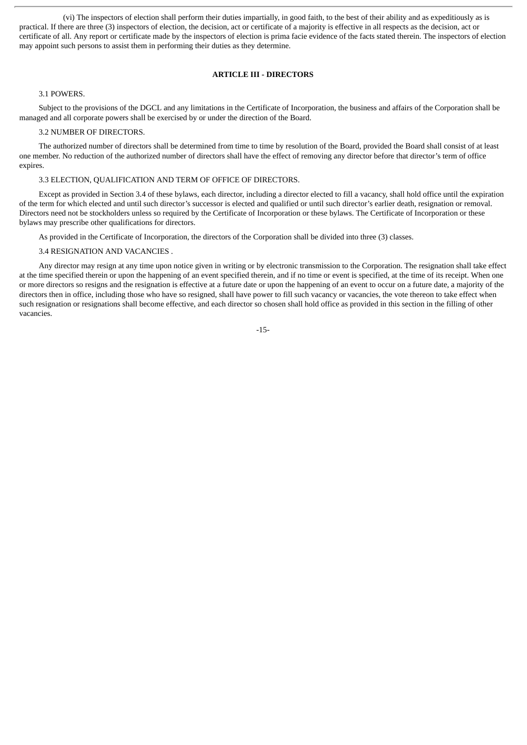(vi) The inspectors of election shall perform their duties impartially, in good faith, to the best of their ability and as expeditiously as is practical. If there are three (3) inspectors of election, the decision, act or certificate of a majority is effective in all respects as the decision, act or certificate of all. Any report or certificate made by the inspectors of election is prima facie evidence of the facts stated therein. The inspectors of election may appoint such persons to assist them in performing their duties as they determine.

#### **ARTICLE III - DIRECTORS**

#### 3.1 POWERS.

Subject to the provisions of the DGCL and any limitations in the Certificate of Incorporation, the business and affairs of the Corporation shall be managed and all corporate powers shall be exercised by or under the direction of the Board.

#### 3.2 NUMBER OF DIRECTORS.

The authorized number of directors shall be determined from time to time by resolution of the Board, provided the Board shall consist of at least one member. No reduction of the authorized number of directors shall have the effect of removing any director before that director's term of office expires.

#### 3.3 ELECTION, QUALIFICATION AND TERM OF OFFICE OF DIRECTORS.

Except as provided in Section 3.4 of these bylaws, each director, including a director elected to fill a vacancy, shall hold office until the expiration of the term for which elected and until such director's successor is elected and qualified or until such director's earlier death, resignation or removal. Directors need not be stockholders unless so required by the Certificate of Incorporation or these bylaws. The Certificate of Incorporation or these bylaws may prescribe other qualifications for directors.

As provided in the Certificate of Incorporation, the directors of the Corporation shall be divided into three (3) classes.

#### 3.4 RESIGNATION AND VACANCIES .

Any director may resign at any time upon notice given in writing or by electronic transmission to the Corporation. The resignation shall take effect at the time specified therein or upon the happening of an event specified therein, and if no time or event is specified, at the time of its receipt. When one or more directors so resigns and the resignation is effective at a future date or upon the happening of an event to occur on a future date, a majority of the directors then in office, including those who have so resigned, shall have power to fill such vacancy or vacancies, the vote thereon to take effect when such resignation or resignations shall become effective, and each director so chosen shall hold office as provided in this section in the filling of other vacancies.

-15-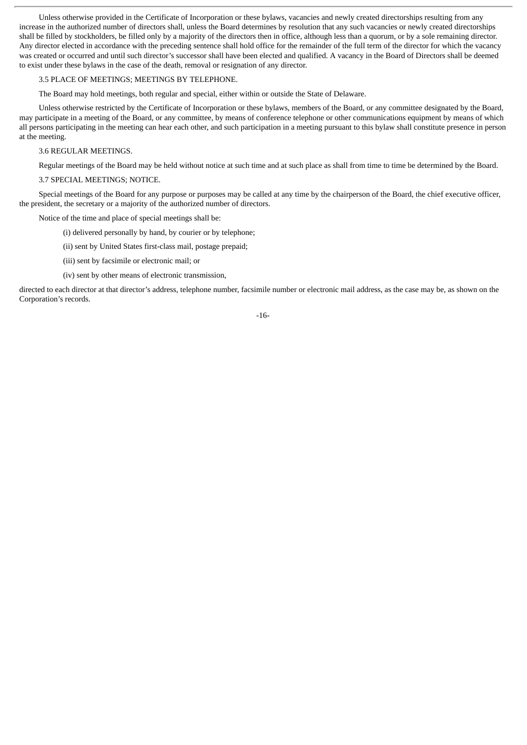Unless otherwise provided in the Certificate of Incorporation or these bylaws, vacancies and newly created directorships resulting from any increase in the authorized number of directors shall, unless the Board determines by resolution that any such vacancies or newly created directorships shall be filled by stockholders, be filled only by a majority of the directors then in office, although less than a quorum, or by a sole remaining director. Any director elected in accordance with the preceding sentence shall hold office for the remainder of the full term of the director for which the vacancy was created or occurred and until such director's successor shall have been elected and qualified. A vacancy in the Board of Directors shall be deemed to exist under these bylaws in the case of the death, removal or resignation of any director.

#### 3.5 PLACE OF MEETINGS; MEETINGS BY TELEPHONE.

The Board may hold meetings, both regular and special, either within or outside the State of Delaware.

Unless otherwise restricted by the Certificate of Incorporation or these bylaws, members of the Board, or any committee designated by the Board, may participate in a meeting of the Board, or any committee, by means of conference telephone or other communications equipment by means of which all persons participating in the meeting can hear each other, and such participation in a meeting pursuant to this bylaw shall constitute presence in person at the meeting.

#### 3.6 REGULAR MEETINGS.

Regular meetings of the Board may be held without notice at such time and at such place as shall from time to time be determined by the Board.

#### 3.7 SPECIAL MEETINGS; NOTICE.

Special meetings of the Board for any purpose or purposes may be called at any time by the chairperson of the Board, the chief executive officer, the president, the secretary or a majority of the authorized number of directors.

Notice of the time and place of special meetings shall be:

- (i) delivered personally by hand, by courier or by telephone;
- (ii) sent by United States first-class mail, postage prepaid;
- (iii) sent by facsimile or electronic mail; or
- (iv) sent by other means of electronic transmission,

directed to each director at that director's address, telephone number, facsimile number or electronic mail address, as the case may be, as shown on the Corporation's records.

#### -16-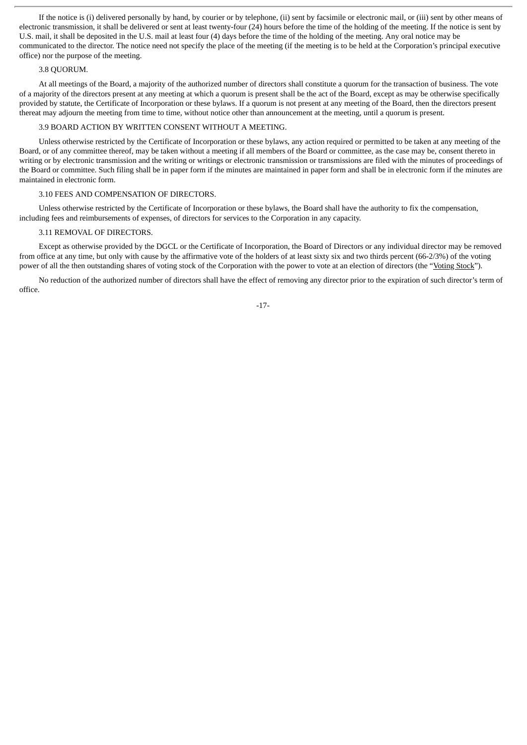If the notice is (i) delivered personally by hand, by courier or by telephone, (ii) sent by facsimile or electronic mail, or (iii) sent by other means of electronic transmission, it shall be delivered or sent at least twenty-four (24) hours before the time of the holding of the meeting. If the notice is sent by U.S. mail, it shall be deposited in the U.S. mail at least four (4) days before the time of the holding of the meeting. Any oral notice may be communicated to the director. The notice need not specify the place of the meeting (if the meeting is to be held at the Corporation's principal executive office) nor the purpose of the meeting.

#### 3.8 QUORUM.

At all meetings of the Board, a majority of the authorized number of directors shall constitute a quorum for the transaction of business. The vote of a majority of the directors present at any meeting at which a quorum is present shall be the act of the Board, except as may be otherwise specifically provided by statute, the Certificate of Incorporation or these bylaws. If a quorum is not present at any meeting of the Board, then the directors present thereat may adjourn the meeting from time to time, without notice other than announcement at the meeting, until a quorum is present.

#### 3.9 BOARD ACTION BY WRITTEN CONSENT WITHOUT A MEETING.

Unless otherwise restricted by the Certificate of Incorporation or these bylaws, any action required or permitted to be taken at any meeting of the Board, or of any committee thereof, may be taken without a meeting if all members of the Board or committee, as the case may be, consent thereto in writing or by electronic transmission and the writing or writings or electronic transmission or transmissions are filed with the minutes of proceedings of the Board or committee. Such filing shall be in paper form if the minutes are maintained in paper form and shall be in electronic form if the minutes are maintained in electronic form.

#### 3.10 FEES AND COMPENSATION OF DIRECTORS.

Unless otherwise restricted by the Certificate of Incorporation or these bylaws, the Board shall have the authority to fix the compensation, including fees and reimbursements of expenses, of directors for services to the Corporation in any capacity.

#### 3.11 REMOVAL OF DIRECTORS.

Except as otherwise provided by the DGCL or the Certificate of Incorporation, the Board of Directors or any individual director may be removed from office at any time, but only with cause by the affirmative vote of the holders of at least sixty six and two thirds percent (66-2/3%) of the voting power of all the then outstanding shares of voting stock of the Corporation with the power to vote at an election of directors (the "Voting Stock").

No reduction of the authorized number of directors shall have the effect of removing any director prior to the expiration of such director's term of office.

-17-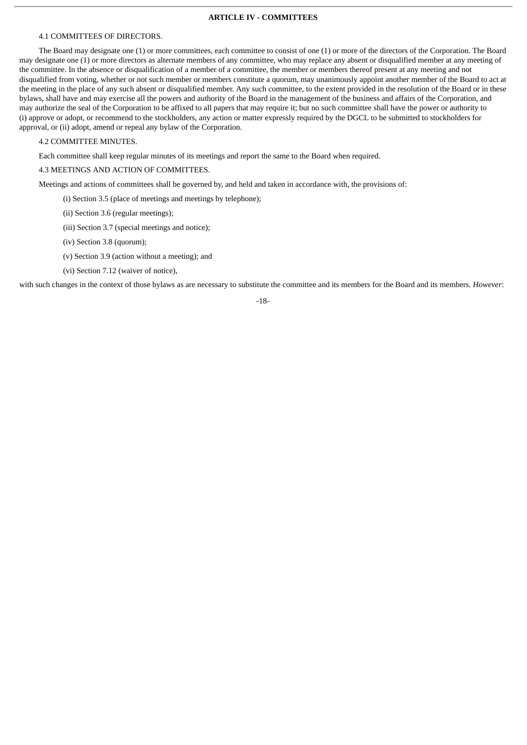#### **ARTICLE IV - COMMITTEES**

#### 4.1 COMMITTEES OF DIRECTORS.

The Board may designate one (1) or more committees, each committee to consist of one (1) or more of the directors of the Corporation. The Board may designate one (1) or more directors as alternate members of any committee, who may replace any absent or disqualified member at any meeting of the committee. In the absence or disqualification of a member of a committee, the member or members thereof present at any meeting and not disqualified from voting, whether or not such member or members constitute a quorum, may unanimously appoint another member of the Board to act at the meeting in the place of any such absent or disqualified member. Any such committee, to the extent provided in the resolution of the Board or in these bylaws, shall have and may exercise all the powers and authority of the Board in the management of the business and affairs of the Corporation, and may authorize the seal of the Corporation to be affixed to all papers that may require it; but no such committee shall have the power or authority to (i) approve or adopt, or recommend to the stockholders, any action or matter expressly required by the DGCL to be submitted to stockholders for approval, or (ii) adopt, amend or repeal any bylaw of the Corporation.

4.2 COMMITTEE MINUTES.

Each committee shall keep regular minutes of its meetings and report the same to the Board when required.

4.3 MEETINGS AND ACTION OF COMMITTEES.

Meetings and actions of committees shall be governed by, and held and taken in accordance with, the provisions of:

(i) Section 3.5 (place of meetings and meetings by telephone);

(ii) Section 3.6 (regular meetings);

(iii) Section 3.7 (special meetings and notice);

(iv) Section 3.8 (quorum);

(v) Section 3.9 (action without a meeting); and

(vi) Section 7.12 (waiver of notice),

with such changes in the context of those bylaws as are necessary to substitute the committee and its members for the Board and its members. *However*:

-18-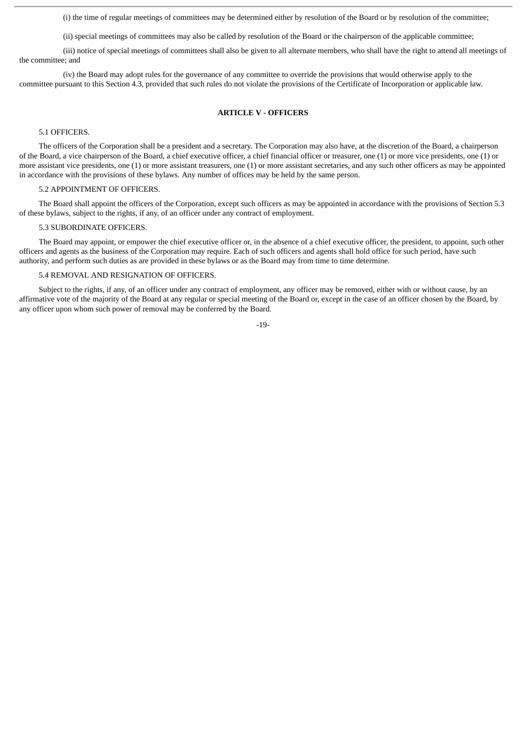(i) the time of regular meetings of committees may be determined either by resolution of the Board or by resolution of the committee;

(ii) special meetings of committees may also be called by resolution of the Board or the chairperson of the applicable committee;

(iii) notice of special meetings of committees shall also be given to all alternate members, who shall have the right to attend all meetings of the committee; and

(iv) the Board may adopt rules for the governance of any committee to override the provisions that would otherwise apply to the committee pursuant to this Section 4.3, provided that such rules do not violate the provisions of the Certificate of Incorporation or applicable law.

#### **ARTICLE V - OFFICERS**

#### 5.1 OFFICERS.

The officers of the Corporation shall be a president and a secretary. The Corporation may also have, at the discretion of the Board, a chairperson of the Board, a vice chairperson of the Board, a chief executive officer, a chief financial officer or treasurer, one (1) or more vice presidents, one (1) or more assistant vice presidents, one (1) or more assistant treasurers, one (1) or more assistant secretaries, and any such other officers as may be appointed in accordance with the provisions of these bylaws. Any number of offices may be held by the same person.

#### 5.2 APPOINTMENT OF OFFICERS.

The Board shall appoint the officers of the Corporation, except such officers as may be appointed in accordance with the provisions of Section 5.3 of these bylaws, subject to the rights, if any, of an officer under any contract of employment.

#### 5.3 SUBORDINATE OFFICERS.

The Board may appoint, or empower the chief executive officer or, in the absence of a chief executive officer, the president, to appoint, such other officers and agents as the business of the Corporation may require. Each of such officers and agents shall hold office for such period, have such authority, and perform such duties as are provided in these bylaws or as the Board may from time to time determine.

#### 5.4 REMOVAL AND RESIGNATION OF OFFICERS.

Subject to the rights, if any, of an officer under any contract of employment, any officer may be removed, either with or without cause, by an affirmative vote of the majority of the Board at any regular or special meeting of the Board or, except in the case of an officer chosen by the Board, by any officer upon whom such power of removal may be conferred by the Board.

-19-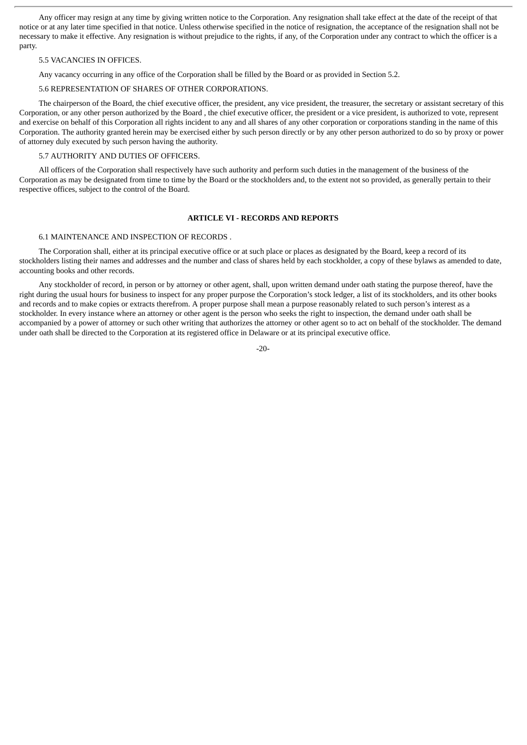Any officer may resign at any time by giving written notice to the Corporation. Any resignation shall take effect at the date of the receipt of that notice or at any later time specified in that notice. Unless otherwise specified in the notice of resignation, the acceptance of the resignation shall not be necessary to make it effective. Any resignation is without prejudice to the rights, if any, of the Corporation under any contract to which the officer is a party.

#### 5.5 VACANCIES IN OFFICES.

Any vacancy occurring in any office of the Corporation shall be filled by the Board or as provided in Section 5.2.

#### 5.6 REPRESENTATION OF SHARES OF OTHER CORPORATIONS.

The chairperson of the Board, the chief executive officer, the president, any vice president, the treasurer, the secretary or assistant secretary of this Corporation, or any other person authorized by the Board , the chief executive officer, the president or a vice president, is authorized to vote, represent and exercise on behalf of this Corporation all rights incident to any and all shares of any other corporation or corporations standing in the name of this Corporation. The authority granted herein may be exercised either by such person directly or by any other person authorized to do so by proxy or power of attorney duly executed by such person having the authority.

# 5.7 AUTHORITY AND DUTIES OF OFFICERS.

All officers of the Corporation shall respectively have such authority and perform such duties in the management of the business of the Corporation as may be designated from time to time by the Board or the stockholders and, to the extent not so provided, as generally pertain to their respective offices, subject to the control of the Board.

#### **ARTICLE VI - RECORDS AND REPORTS**

#### 6.1 MAINTENANCE AND INSPECTION OF RECORDS .

The Corporation shall, either at its principal executive office or at such place or places as designated by the Board, keep a record of its stockholders listing their names and addresses and the number and class of shares held by each stockholder, a copy of these bylaws as amended to date, accounting books and other records.

Any stockholder of record, in person or by attorney or other agent, shall, upon written demand under oath stating the purpose thereof, have the right during the usual hours for business to inspect for any proper purpose the Corporation's stock ledger, a list of its stockholders, and its other books and records and to make copies or extracts therefrom. A proper purpose shall mean a purpose reasonably related to such person's interest as a stockholder. In every instance where an attorney or other agent is the person who seeks the right to inspection, the demand under oath shall be accompanied by a power of attorney or such other writing that authorizes the attorney or other agent so to act on behalf of the stockholder. The demand under oath shall be directed to the Corporation at its registered office in Delaware or at its principal executive office.

-20-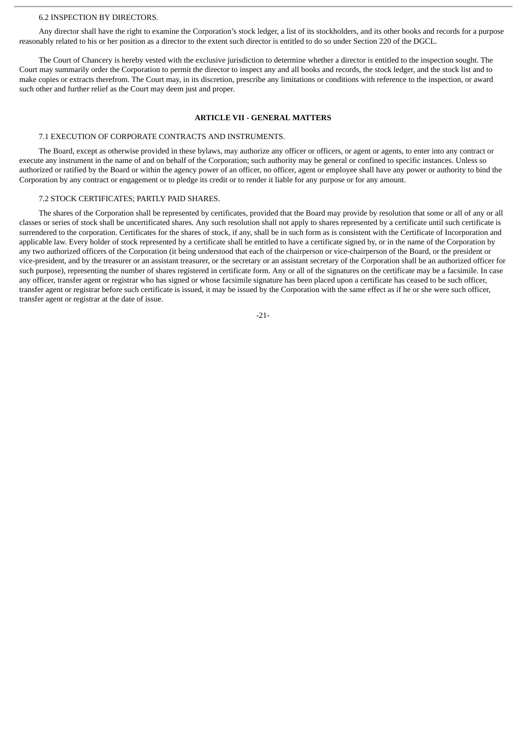#### 6.2 INSPECTION BY DIRECTORS.

Any director shall have the right to examine the Corporation's stock ledger, a list of its stockholders, and its other books and records for a purpose reasonably related to his or her position as a director to the extent such director is entitled to do so under Section 220 of the DGCL.

The Court of Chancery is hereby vested with the exclusive jurisdiction to determine whether a director is entitled to the inspection sought. The Court may summarily order the Corporation to permit the director to inspect any and all books and records, the stock ledger, and the stock list and to make copies or extracts therefrom. The Court may, in its discretion, prescribe any limitations or conditions with reference to the inspection, or award such other and further relief as the Court may deem just and proper.

#### **ARTICLE VII - GENERAL MATTERS**

#### 7.1 EXECUTION OF CORPORATE CONTRACTS AND INSTRUMENTS.

The Board, except as otherwise provided in these bylaws, may authorize any officer or officers, or agent or agents, to enter into any contract or execute any instrument in the name of and on behalf of the Corporation; such authority may be general or confined to specific instances. Unless so authorized or ratified by the Board or within the agency power of an officer, no officer, agent or employee shall have any power or authority to bind the Corporation by any contract or engagement or to pledge its credit or to render it liable for any purpose or for any amount.

#### 7.2 STOCK CERTIFICATES; PARTLY PAID SHARES.

The shares of the Corporation shall be represented by certificates, provided that the Board may provide by resolution that some or all of any or all classes or series of stock shall be uncertificated shares. Any such resolution shall not apply to shares represented by a certificate until such certificate is surrendered to the corporation. Certificates for the shares of stock, if any, shall be in such form as is consistent with the Certificate of Incorporation and applicable law. Every holder of stock represented by a certificate shall be entitled to have a certificate signed by, or in the name of the Corporation by any two authorized officers of the Corporation (it being understood that each of the chairperson or vice-chairperson of the Board, or the president or vice-president, and by the treasurer or an assistant treasurer, or the secretary or an assistant secretary of the Corporation shall be an authorized officer for such purpose), representing the number of shares registered in certificate form. Any or all of the signatures on the certificate may be a facsimile. In case any officer, transfer agent or registrar who has signed or whose facsimile signature has been placed upon a certificate has ceased to be such officer, transfer agent or registrar before such certificate is issued, it may be issued by the Corporation with the same effect as if he or she were such officer, transfer agent or registrar at the date of issue.

-21-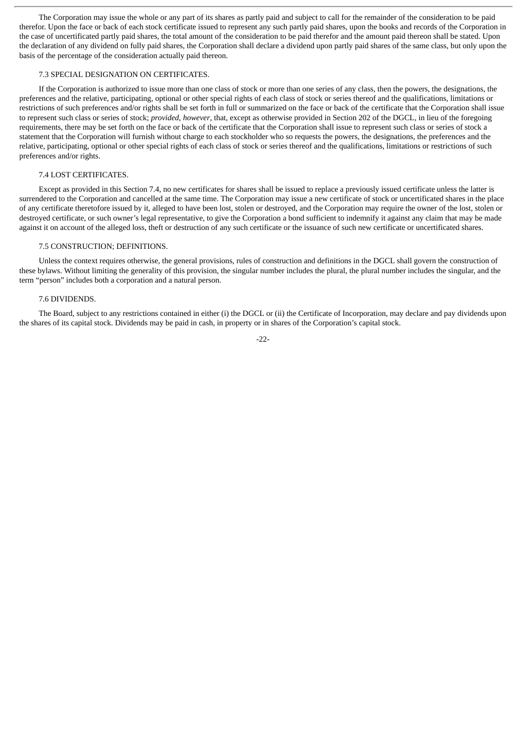The Corporation may issue the whole or any part of its shares as partly paid and subject to call for the remainder of the consideration to be paid therefor. Upon the face or back of each stock certificate issued to represent any such partly paid shares, upon the books and records of the Corporation in the case of uncertificated partly paid shares, the total amount of the consideration to be paid therefor and the amount paid thereon shall be stated. Upon the declaration of any dividend on fully paid shares, the Corporation shall declare a dividend upon partly paid shares of the same class, but only upon the basis of the percentage of the consideration actually paid thereon.

#### 7.3 SPECIAL DESIGNATION ON CERTIFICATES.

If the Corporation is authorized to issue more than one class of stock or more than one series of any class, then the powers, the designations, the preferences and the relative, participating, optional or other special rights of each class of stock or series thereof and the qualifications, limitations or restrictions of such preferences and/or rights shall be set forth in full or summarized on the face or back of the certificate that the Corporation shall issue to represent such class or series of stock; *provided, however*, that, except as otherwise provided in Section 202 of the DGCL, in lieu of the foregoing requirements, there may be set forth on the face or back of the certificate that the Corporation shall issue to represent such class or series of stock a statement that the Corporation will furnish without charge to each stockholder who so requests the powers, the designations, the preferences and the relative, participating, optional or other special rights of each class of stock or series thereof and the qualifications, limitations or restrictions of such preferences and/or rights.

#### 7.4 LOST CERTIFICATES.

Except as provided in this Section 7.4, no new certificates for shares shall be issued to replace a previously issued certificate unless the latter is surrendered to the Corporation and cancelled at the same time. The Corporation may issue a new certificate of stock or uncertificated shares in the place of any certificate theretofore issued by it, alleged to have been lost, stolen or destroyed, and the Corporation may require the owner of the lost, stolen or destroyed certificate, or such owner's legal representative, to give the Corporation a bond sufficient to indemnify it against any claim that may be made against it on account of the alleged loss, theft or destruction of any such certificate or the issuance of such new certificate or uncertificated shares.

#### 7.5 CONSTRUCTION; DEFINITIONS.

Unless the context requires otherwise, the general provisions, rules of construction and definitions in the DGCL shall govern the construction of these bylaws. Without limiting the generality of this provision, the singular number includes the plural, the plural number includes the singular, and the term "person" includes both a corporation and a natural person.

#### 7.6 DIVIDENDS.

The Board, subject to any restrictions contained in either (i) the DGCL or (ii) the Certificate of Incorporation, may declare and pay dividends upon the shares of its capital stock. Dividends may be paid in cash, in property or in shares of the Corporation's capital stock.

-22-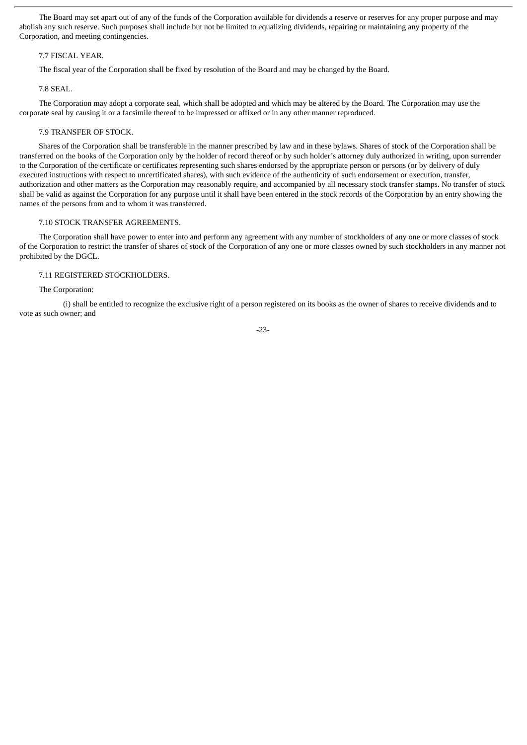The Board may set apart out of any of the funds of the Corporation available for dividends a reserve or reserves for any proper purpose and may abolish any such reserve. Such purposes shall include but not be limited to equalizing dividends, repairing or maintaining any property of the Corporation, and meeting contingencies.

#### 7.7 FISCAL YEAR.

The fiscal year of the Corporation shall be fixed by resolution of the Board and may be changed by the Board.

#### 7.8 SEAL.

The Corporation may adopt a corporate seal, which shall be adopted and which may be altered by the Board. The Corporation may use the corporate seal by causing it or a facsimile thereof to be impressed or affixed or in any other manner reproduced.

#### 7.9 TRANSFER OF STOCK.

Shares of the Corporation shall be transferable in the manner prescribed by law and in these bylaws. Shares of stock of the Corporation shall be transferred on the books of the Corporation only by the holder of record thereof or by such holder's attorney duly authorized in writing, upon surrender to the Corporation of the certificate or certificates representing such shares endorsed by the appropriate person or persons (or by delivery of duly executed instructions with respect to uncertificated shares), with such evidence of the authenticity of such endorsement or execution, transfer, authorization and other matters as the Corporation may reasonably require, and accompanied by all necessary stock transfer stamps. No transfer of stock shall be valid as against the Corporation for any purpose until it shall have been entered in the stock records of the Corporation by an entry showing the names of the persons from and to whom it was transferred.

#### 7.10 STOCK TRANSFER AGREEMENTS.

The Corporation shall have power to enter into and perform any agreement with any number of stockholders of any one or more classes of stock of the Corporation to restrict the transfer of shares of stock of the Corporation of any one or more classes owned by such stockholders in any manner not prohibited by the DGCL.

#### 7.11 REGISTERED STOCKHOLDERS.

#### The Corporation:

(i) shall be entitled to recognize the exclusive right of a person registered on its books as the owner of shares to receive dividends and to vote as such owner; and

-23-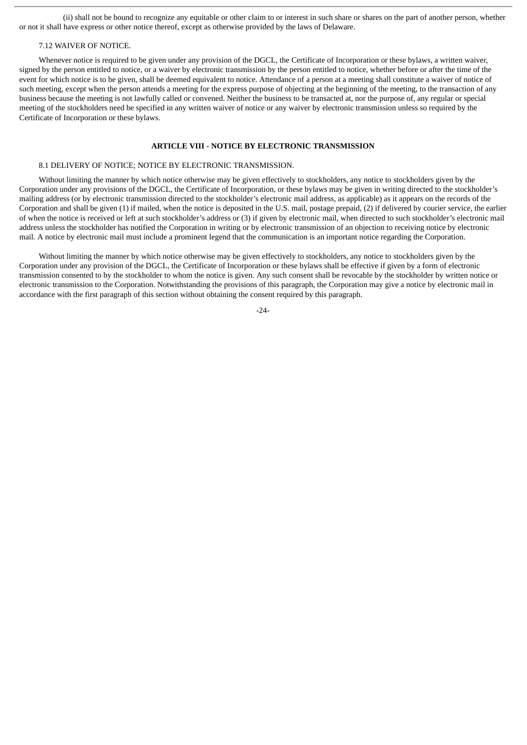(ii) shall not be bound to recognize any equitable or other claim to or interest in such share or shares on the part of another person, whether or not it shall have express or other notice thereof, except as otherwise provided by the laws of Delaware.

# 7.12 WAIVER OF NOTICE.

Whenever notice is required to be given under any provision of the DGCL, the Certificate of Incorporation or these bylaws, a written waiver, signed by the person entitled to notice, or a waiver by electronic transmission by the person entitled to notice, whether before or after the time of the event for which notice is to be given, shall be deemed equivalent to notice. Attendance of a person at a meeting shall constitute a waiver of notice of such meeting, except when the person attends a meeting for the express purpose of objecting at the beginning of the meeting, to the transaction of any business because the meeting is not lawfully called or convened. Neither the business to be transacted at, nor the purpose of, any regular or special meeting of the stockholders need be specified in any written waiver of notice or any waiver by electronic transmission unless so required by the Certificate of Incorporation or these bylaws.

#### **ARTICLE VIII - NOTICE BY ELECTRONIC TRANSMISSION**

#### 8.1 DELIVERY OF NOTICE; NOTICE BY ELECTRONIC TRANSMISSION.

Without limiting the manner by which notice otherwise may be given effectively to stockholders, any notice to stockholders given by the Corporation under any provisions of the DGCL, the Certificate of Incorporation, or these bylaws may be given in writing directed to the stockholder's mailing address (or by electronic transmission directed to the stockholder's electronic mail address, as applicable) as it appears on the records of the Corporation and shall be given (1) if mailed, when the notice is deposited in the U.S. mail, postage prepaid, (2) if delivered by courier service, the earlier of when the notice is received or left at such stockholder's address or (3) if given by electronic mail, when directed to such stockholder's electronic mail address unless the stockholder has notified the Corporation in writing or by electronic transmission of an objection to receiving notice by electronic mail. A notice by electronic mail must include a prominent legend that the communication is an important notice regarding the Corporation.

Without limiting the manner by which notice otherwise may be given effectively to stockholders, any notice to stockholders given by the Corporation under any provision of the DGCL, the Certificate of Incorporation or these bylaws shall be effective if given by a form of electronic transmission consented to by the stockholder to whom the notice is given. Any such consent shall be revocable by the stockholder by written notice or electronic transmission to the Corporation. Notwithstanding the provisions of this paragraph, the Corporation may give a notice by electronic mail in accordance with the first paragraph of this section without obtaining the consent required by this paragraph.

-24-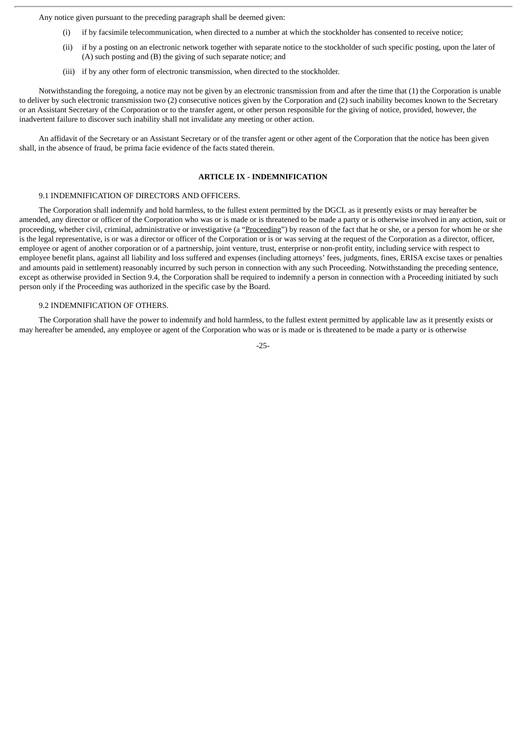Any notice given pursuant to the preceding paragraph shall be deemed given:

- (i) if by facsimile telecommunication, when directed to a number at which the stockholder has consented to receive notice;
- (ii) if by a posting on an electronic network together with separate notice to the stockholder of such specific posting, upon the later of (A) such posting and (B) the giving of such separate notice; and
- (iii) if by any other form of electronic transmission, when directed to the stockholder.

Notwithstanding the foregoing, a notice may not be given by an electronic transmission from and after the time that (1) the Corporation is unable to deliver by such electronic transmission two (2) consecutive notices given by the Corporation and (2) such inability becomes known to the Secretary or an Assistant Secretary of the Corporation or to the transfer agent, or other person responsible for the giving of notice, provided, however, the inadvertent failure to discover such inability shall not invalidate any meeting or other action.

An affidavit of the Secretary or an Assistant Secretary or of the transfer agent or other agent of the Corporation that the notice has been given shall, in the absence of fraud, be prima facie evidence of the facts stated therein.

#### **ARTICLE IX - INDEMNIFICATION**

#### 9.1 INDEMNIFICATION OF DIRECTORS AND OFFICERS.

The Corporation shall indemnify and hold harmless, to the fullest extent permitted by the DGCL as it presently exists or may hereafter be amended, any director or officer of the Corporation who was or is made or is threatened to be made a party or is otherwise involved in any action, suit or proceeding, whether civil, criminal, administrative or investigative (a "Proceeding") by reason of the fact that he or she, or a person for whom he or she is the legal representative, is or was a director or officer of the Corporation or is or was serving at the request of the Corporation as a director, officer, employee or agent of another corporation or of a partnership, joint venture, trust, enterprise or non-profit entity, including service with respect to employee benefit plans, against all liability and loss suffered and expenses (including attorneys' fees, judgments, fines, ERISA excise taxes or penalties and amounts paid in settlement) reasonably incurred by such person in connection with any such Proceeding. Notwithstanding the preceding sentence, except as otherwise provided in Section 9.4, the Corporation shall be required to indemnify a person in connection with a Proceeding initiated by such person only if the Proceeding was authorized in the specific case by the Board.

#### 9.2 INDEMNIFICATION OF OTHERS.

The Corporation shall have the power to indemnify and hold harmless, to the fullest extent permitted by applicable law as it presently exists or may hereafter be amended, any employee or agent of the Corporation who was or is made or is threatened to be made a party or is otherwise

-25-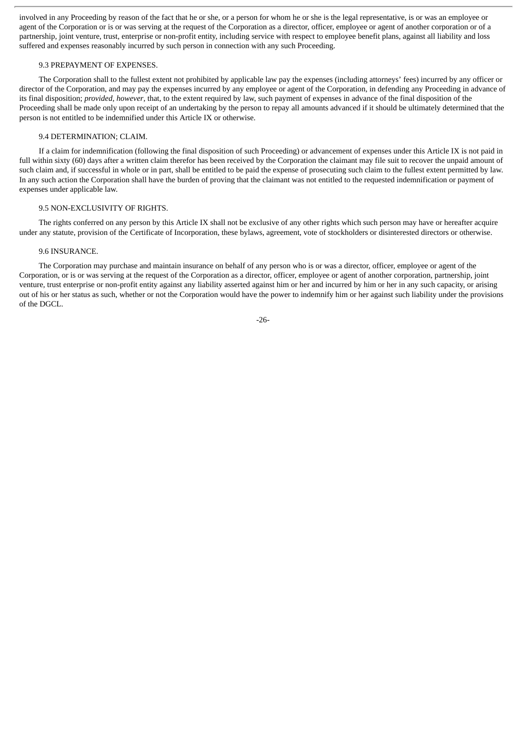involved in any Proceeding by reason of the fact that he or she, or a person for whom he or she is the legal representative, is or was an employee or agent of the Corporation or is or was serving at the request of the Corporation as a director, officer, employee or agent of another corporation or of a partnership, joint venture, trust, enterprise or non-profit entity, including service with respect to employee benefit plans, against all liability and loss suffered and expenses reasonably incurred by such person in connection with any such Proceeding.

# 9.3 PREPAYMENT OF EXPENSES.

The Corporation shall to the fullest extent not prohibited by applicable law pay the expenses (including attorneys' fees) incurred by any officer or director of the Corporation, and may pay the expenses incurred by any employee or agent of the Corporation, in defending any Proceeding in advance of its final disposition; *provided, however*, that, to the extent required by law, such payment of expenses in advance of the final disposition of the Proceeding shall be made only upon receipt of an undertaking by the person to repay all amounts advanced if it should be ultimately determined that the person is not entitled to be indemnified under this Article IX or otherwise.

#### 9.4 DETERMINATION; CLAIM.

If a claim for indemnification (following the final disposition of such Proceeding) or advancement of expenses under this Article IX is not paid in full within sixty (60) days after a written claim therefor has been received by the Corporation the claimant may file suit to recover the unpaid amount of such claim and, if successful in whole or in part, shall be entitled to be paid the expense of prosecuting such claim to the fullest extent permitted by law. In any such action the Corporation shall have the burden of proving that the claimant was not entitled to the requested indemnification or payment of expenses under applicable law.

#### 9.5 NON-EXCLUSIVITY OF RIGHTS.

The rights conferred on any person by this Article IX shall not be exclusive of any other rights which such person may have or hereafter acquire under any statute, provision of the Certificate of Incorporation, these bylaws, agreement, vote of stockholders or disinterested directors or otherwise.

#### 9.6 INSURANCE.

The Corporation may purchase and maintain insurance on behalf of any person who is or was a director, officer, employee or agent of the Corporation, or is or was serving at the request of the Corporation as a director, officer, employee or agent of another corporation, partnership, joint venture, trust enterprise or non-profit entity against any liability asserted against him or her and incurred by him or her in any such capacity, or arising out of his or her status as such, whether or not the Corporation would have the power to indemnify him or her against such liability under the provisions of the DGCL.

-26-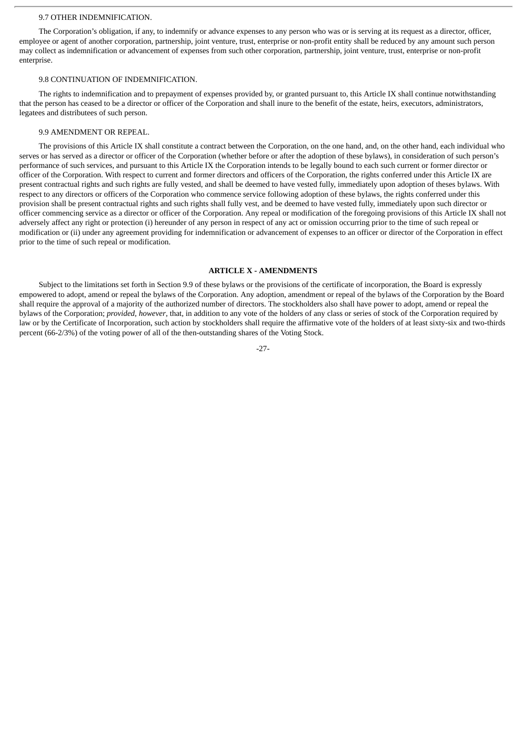#### 9.7 OTHER INDEMNIFICATION.

The Corporation's obligation, if any, to indemnify or advance expenses to any person who was or is serving at its request as a director, officer, employee or agent of another corporation, partnership, joint venture, trust, enterprise or non-profit entity shall be reduced by any amount such person may collect as indemnification or advancement of expenses from such other corporation, partnership, joint venture, trust, enterprise or non-profit enterprise.

#### 9.8 CONTINUATION OF INDEMNIFICATION.

The rights to indemnification and to prepayment of expenses provided by, or granted pursuant to, this Article IX shall continue notwithstanding that the person has ceased to be a director or officer of the Corporation and shall inure to the benefit of the estate, heirs, executors, administrators, legatees and distributees of such person.

#### 9.9 AMENDMENT OR REPEAL.

The provisions of this Article IX shall constitute a contract between the Corporation, on the one hand, and, on the other hand, each individual who serves or has served as a director or officer of the Corporation (whether before or after the adoption of these bylaws), in consideration of such person's performance of such services, and pursuant to this Article IX the Corporation intends to be legally bound to each such current or former director or officer of the Corporation. With respect to current and former directors and officers of the Corporation, the rights conferred under this Article IX are present contractual rights and such rights are fully vested, and shall be deemed to have vested fully, immediately upon adoption of theses bylaws. With respect to any directors or officers of the Corporation who commence service following adoption of these bylaws, the rights conferred under this provision shall be present contractual rights and such rights shall fully vest, and be deemed to have vested fully, immediately upon such director or officer commencing service as a director or officer of the Corporation. Any repeal or modification of the foregoing provisions of this Article IX shall not adversely affect any right or protection (i) hereunder of any person in respect of any act or omission occurring prior to the time of such repeal or modification or (ii) under any agreement providing for indemnification or advancement of expenses to an officer or director of the Corporation in effect prior to the time of such repeal or modification.

#### **ARTICLE X - AMENDMENTS**

Subject to the limitations set forth in Section 9.9 of these bylaws or the provisions of the certificate of incorporation, the Board is expressly empowered to adopt, amend or repeal the bylaws of the Corporation. Any adoption, amendment or repeal of the bylaws of the Corporation by the Board shall require the approval of a majority of the authorized number of directors. The stockholders also shall have power to adopt, amend or repeal the bylaws of the Corporation; *provided, however*, that, in addition to any vote of the holders of any class or series of stock of the Corporation required by law or by the Certificate of Incorporation, such action by stockholders shall require the affirmative vote of the holders of at least sixty-six and two-thirds percent (66-2/3%) of the voting power of all of the then-outstanding shares of the Voting Stock.

-27-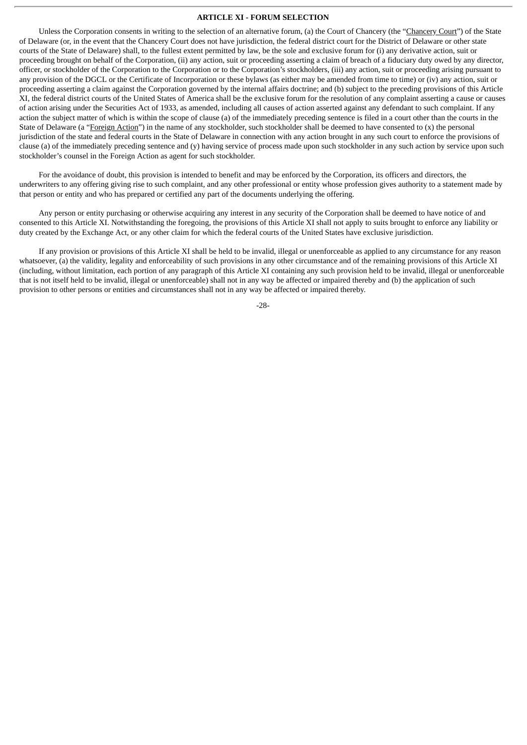#### **ARTICLE XI - FORUM SELECTION**

Unless the Corporation consents in writing to the selection of an alternative forum, (a) the Court of Chancery (the "Chancery Court") of the State of Delaware (or, in the event that the Chancery Court does not have jurisdiction, the federal district court for the District of Delaware or other state courts of the State of Delaware) shall, to the fullest extent permitted by law, be the sole and exclusive forum for (i) any derivative action, suit or proceeding brought on behalf of the Corporation, (ii) any action, suit or proceeding asserting a claim of breach of a fiduciary duty owed by any director, officer, or stockholder of the Corporation to the Corporation or to the Corporation's stockholders, (iii) any action, suit or proceeding arising pursuant to any provision of the DGCL or the Certificate of Incorporation or these bylaws (as either may be amended from time to time) or (iv) any action, suit or proceeding asserting a claim against the Corporation governed by the internal affairs doctrine; and (b) subject to the preceding provisions of this Article XI, the federal district courts of the United States of America shall be the exclusive forum for the resolution of any complaint asserting a cause or causes of action arising under the Securities Act of 1933, as amended, including all causes of action asserted against any defendant to such complaint. If any action the subject matter of which is within the scope of clause (a) of the immediately preceding sentence is filed in a court other than the courts in the State of Delaware (a "Foreign Action") in the name of any stockholder, such stockholder shall be deemed to have consented to (x) the personal jurisdiction of the state and federal courts in the State of Delaware in connection with any action brought in any such court to enforce the provisions of clause (a) of the immediately preceding sentence and  $(y)$  having service of process made upon such stockholder in any such action by service upon such stockholder's counsel in the Foreign Action as agent for such stockholder.

For the avoidance of doubt, this provision is intended to benefit and may be enforced by the Corporation, its officers and directors, the underwriters to any offering giving rise to such complaint, and any other professional or entity whose profession gives authority to a statement made by that person or entity and who has prepared or certified any part of the documents underlying the offering.

Any person or entity purchasing or otherwise acquiring any interest in any security of the Corporation shall be deemed to have notice of and consented to this Article XI. Notwithstanding the foregoing, the provisions of this Article XI shall not apply to suits brought to enforce any liability or duty created by the Exchange Act, or any other claim for which the federal courts of the United States have exclusive jurisdiction.

If any provision or provisions of this Article XI shall be held to be invalid, illegal or unenforceable as applied to any circumstance for any reason whatsoever, (a) the validity, legality and enforceability of such provisions in any other circumstance and of the remaining provisions of this Article XI (including, without limitation, each portion of any paragraph of this Article XI containing any such provision held to be invalid, illegal or unenforceable that is not itself held to be invalid, illegal or unenforceable) shall not in any way be affected or impaired thereby and (b) the application of such provision to other persons or entities and circumstances shall not in any way be affected or impaired thereby.

-28-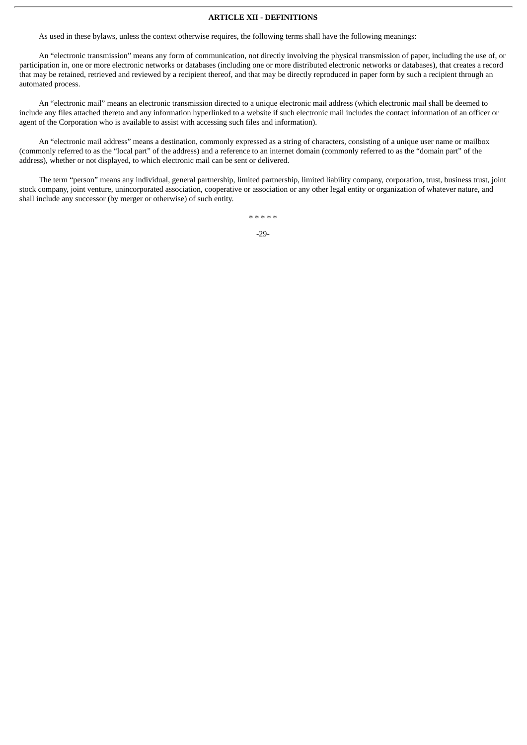#### **ARTICLE XII - DEFINITIONS**

As used in these bylaws, unless the context otherwise requires, the following terms shall have the following meanings:

An "electronic transmission" means any form of communication, not directly involving the physical transmission of paper, including the use of, or participation in, one or more electronic networks or databases (including one or more distributed electronic networks or databases), that creates a record that may be retained, retrieved and reviewed by a recipient thereof, and that may be directly reproduced in paper form by such a recipient through an automated process.

An "electronic mail" means an electronic transmission directed to a unique electronic mail address (which electronic mail shall be deemed to include any files attached thereto and any information hyperlinked to a website if such electronic mail includes the contact information of an officer or agent of the Corporation who is available to assist with accessing such files and information).

An "electronic mail address" means a destination, commonly expressed as a string of characters, consisting of a unique user name or mailbox (commonly referred to as the "local part" of the address) and a reference to an internet domain (commonly referred to as the "domain part" of the address), whether or not displayed, to which electronic mail can be sent or delivered.

The term "person" means any individual, general partnership, limited partnership, limited liability company, corporation, trust, business trust, joint stock company, joint venture, unincorporated association, cooperative or association or any other legal entity or organization of whatever nature, and shall include any successor (by merger or otherwise) of such entity.

> \* \* \* \* \* -29-